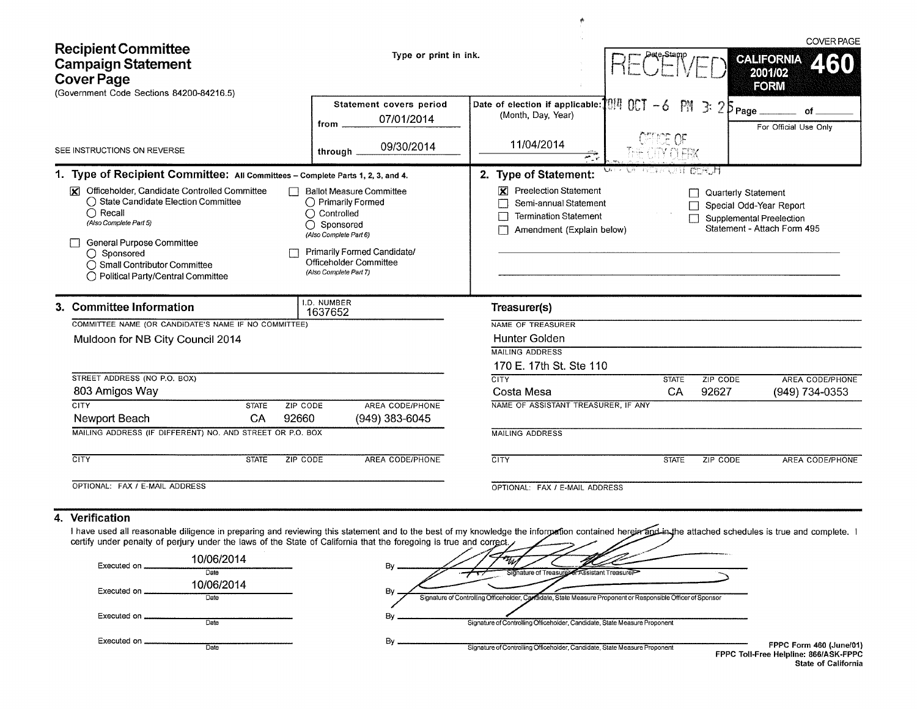| <b>Recipient Committee</b><br><b>Campaign Statement</b><br><b>Cover Page</b><br>(Government Code Sections 84200-84216.5) |                                                                                                                                                                                                                                                                                                                                                          |                                         | Type or print in ink.                                                                                                                                                                                                | <b>COVER PAGE</b><br><b>CALIFORNIA</b><br>2001/02<br><b>FORM</b>                                                                                       |                  |                     |                                                                                    |  |
|--------------------------------------------------------------------------------------------------------------------------|----------------------------------------------------------------------------------------------------------------------------------------------------------------------------------------------------------------------------------------------------------------------------------------------------------------------------------------------------------|-----------------------------------------|----------------------------------------------------------------------------------------------------------------------------------------------------------------------------------------------------------------------|--------------------------------------------------------------------------------------------------------------------------------------------------------|------------------|---------------------|------------------------------------------------------------------------------------|--|
|                                                                                                                          | SEE INSTRUCTIONS ON REVERSE                                                                                                                                                                                                                                                                                                                              |                                         | Statement covers period<br>07/01/2014<br>from<br>09/30/2014                                                                                                                                                          | Date of election if applicable: $1017 - 6$ PM 3: $25$ Page<br>(Month, Day, Year)<br>11/04/2014                                                         | <b>IFFOR OF</b>  |                     | For Official Use Only                                                              |  |
|                                                                                                                          | 1. Type of Recipient Committee: All Committees - Complete Parts 1, 2, 3, and 4.<br>Officeholder, Candidate Controlled Committee<br>$\mathbf x$<br>◯ State Candidate Election Committee<br>$\bigcap$ Recall<br>(Also Complete Part 5)<br>General Purpose Committee<br>◯ Sponsored<br>◯ Small Contributor Committee<br>◯ Political Party/Central Committee |                                         | through<br><b>Ballot Measure Committee</b><br>◯ Primarily Formed<br>$\bigcap$ Controlled<br>◯ Sponsored<br>(Also Complete Part 6)<br>Primarily Formed Candidate/<br>Officeholder Committee<br>(Also Complete Part 7) | 27<br>2. Type of Statement:<br><b>Preelection Statement</b><br>K<br>Semi-annual Statement<br><b>Termination Statement</b><br>Amendment (Explain below) | NE 室具/代表11-02代/月 | Quarterly Statement | Special Odd-Year Report<br>Supplemental Preelection<br>Statement - Attach Form 495 |  |
|                                                                                                                          | 3. Committee Information<br>COMMITTEE NAME (OR CANDIDATE'S NAME IF NO COMMITTEE)<br>Muldoon for NB City Council 2014<br>STREET ADDRESS (NO P.O. BOX)                                                                                                                                                                                                     |                                         | I.D. NUMBER<br>1637652                                                                                                                                                                                               | Treasurer(s)<br>NAME OF TREASURER<br><b>Hunter Golden</b><br><b>MAILING ADDRESS</b><br>170 E. 17th St. Ste 110<br><b>CITY</b>                          | <b>STATE</b>     | ZIP CODE            | <b>AREA CODE/PHONE</b>                                                             |  |
|                                                                                                                          | 803 Amigos Way<br><b>CITY</b><br>Newport Beach<br>MAILING ADDRESS (IF DIFFERENT) NO. AND STREET OR P.O. BOX                                                                                                                                                                                                                                              | ZIP CODE<br><b>STATE</b><br>92660<br>CA | AREA CODE/PHONE<br>(949) 383-6045                                                                                                                                                                                    | Costa Mesa<br>NAME OF ASSISTANT TREASURER, IF ANY<br><b>MAILING ADDRESS</b>                                                                            | <b>CA</b>        | 92627               | (949) 734-0353                                                                     |  |
|                                                                                                                          | CITY                                                                                                                                                                                                                                                                                                                                                     | <b>STATE</b><br>ZIP CODE                | AREA CODE/PHONE                                                                                                                                                                                                      | <b>CITY</b>                                                                                                                                            | <b>STATE</b>     | ZIP CODE            | AREA CODE/PHONE                                                                    |  |
|                                                                                                                          | OPTIONAL: FAX / E-MAIL ADDRESS                                                                                                                                                                                                                                                                                                                           |                                         |                                                                                                                                                                                                                      | OPTIONAL: FAX / E-MAIL ADDRESS                                                                                                                         |                  |                     |                                                                                    |  |

#### **4. Verification**

I have used all reasonable diligence in preparing and reviewing this statement and to the best of my knowledge the infor certify under penalty of perjury under the laws of the State of California that the foregoing is true and correct. he attached schedules is true and complete.

| Executed on   | 10/06/2014         | B١                                                                                                                |                                                                  |
|---------------|--------------------|-------------------------------------------------------------------------------------------------------------------|------------------------------------------------------------------|
|               | Date<br>10/06/2014 | Signature of Treasurer or Assistant Treasurer                                                                     |                                                                  |
| Executed on   | Date               | Bv<br>Signature of Controlling Officeholder, Candidate, State Measure Proponent or Responsible Officer of Sponsor |                                                                  |
| Executed on . | Date               | B١<br>Signature of Controlling Officeholder, Candidate, State Measure Proponent                                   |                                                                  |
| Executed on   | Date               | B١<br>Signature of Controlling Officeholder, Candidate, State Measure Proponent                                   | FPPC Form 460 (June/01)<br>FPPC Toll-Free Helpline: 866/ASK-FPPC |

State of California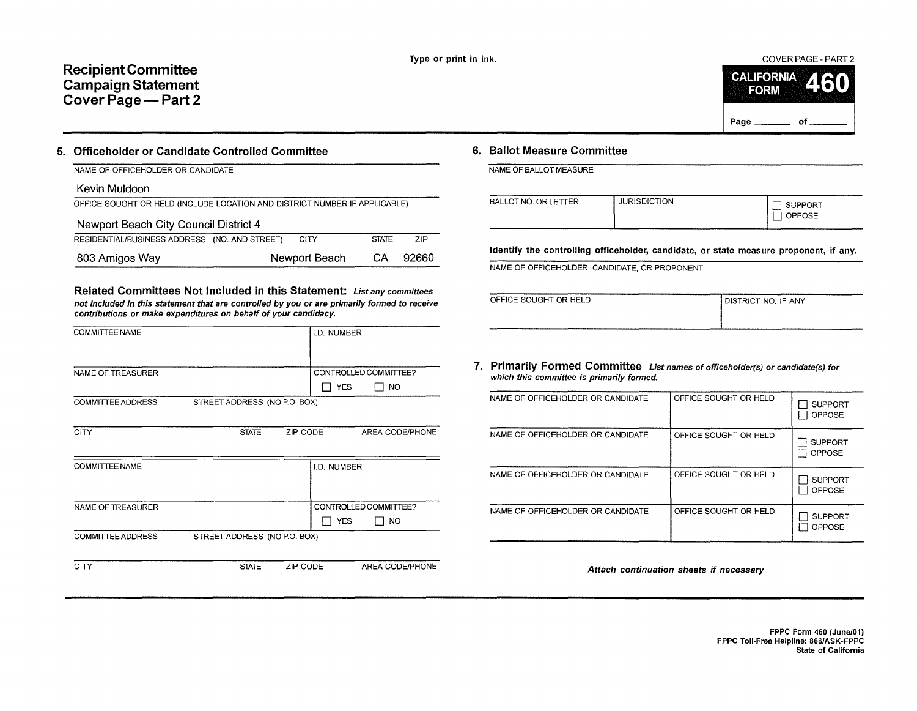## **Recipient Committee Campaign Statement Cover Page- Part 2**



#### **5. Officeholder or Candidate Controlled Committee**

| NAME OF OFFICEHOLDER OR CANDIDATE                                          |               |              |       |  |  |  |  |  |
|----------------------------------------------------------------------------|---------------|--------------|-------|--|--|--|--|--|
| Kevin Muldoon                                                              |               |              |       |  |  |  |  |  |
| OFFICE SOUGHT OR HELD (INCLUDE LOCATION AND DISTRICT NUMBER IF APPLICABLE) |               |              |       |  |  |  |  |  |
| Newport Beach City Council District 4                                      |               |              |       |  |  |  |  |  |
| RESIDENTIAL/BUSINESS ADDRESS (NO. AND STREET)                              | CITY          | <b>STATE</b> | ZIP   |  |  |  |  |  |
| 803 Amigos Way                                                             | Newport Beach |              | 92660 |  |  |  |  |  |

Related Committees Not Included in this Statement: List any committees not included in this statement that are controlled by you or are primarily formed to receive contributions or make expenditures on behalf of your candidacy.

| <b>COMMITTEE NAME</b>    |                              |          | I.D. NUMBER |                       |
|--------------------------|------------------------------|----------|-------------|-----------------------|
|                          |                              |          |             |                       |
| NAME OF TREASURER        |                              |          |             | CONTROLLED COMMITTEE? |
|                          |                              |          | <b>YES</b>  | סא ך                  |
| <b>COMMITTEE ADDRESS</b> | STREET ADDRESS (NO P.O. BOX) |          |             |                       |
|                          |                              |          |             |                       |
| <b>CITY</b>              | <b>STATE</b>                 | ZIP CODE |             | AREA CODE/PHONE       |
|                          |                              |          |             |                       |
| <b>COMMITTEE NAME</b>    |                              |          | I.D. NUMBER |                       |
|                          |                              |          |             |                       |
|                          |                              |          |             |                       |
| NAME OF TREASURER        |                              |          |             | CONTROLLED COMMITTEE? |
|                          |                              |          | <b>YES</b>  | NO.                   |
| <b>COMMITTEE ADDRESS</b> | STREET ADDRESS (NO P.O. BOX) |          |             |                       |
|                          |                              |          |             |                       |

CITY STATE ZIP CODE AREA CODE/PHONE

## **6. Ballot Measure Committee**

NAME OF BALLOT MEASURE

| BALLOT NO. OR LETTER | <b>JURISDICTION</b> | <b>JPPORT</b><br><b>PPOSE</b><br>سيستد |
|----------------------|---------------------|----------------------------------------|
|                      |                     |                                        |

Identify the controlling officeholder, candidate, or state measure proponent, if any.

NAME OF OFFICEHOLDER. CANDIDATE, OR PROPONENT

| OFFICE SOUGHT OR HELD | I DISTRICT NO. IF ANY |
|-----------------------|-----------------------|
|                       |                       |

**7. Primarily Formed Committee** List names of afficehalder(s) or candidate(s) far which this committee is primarily formed.

| NAME OF OFFICEHOLDER OR CANDIDATE | OFFICE SOUGHT OR HELD | <b>SUPPORT</b><br><b>OPPOSE</b> |
|-----------------------------------|-----------------------|---------------------------------|
| NAME OF OFFICEHOLDER OR CANDIDATE | OFFICE SOUGHT OR HELD | <b>SUPPORT</b><br>OPPOSE        |
| NAME OF OFFICEHOLDER OR CANDIDATE | OFFICE SOUGHT OR HELD | <b>SUPPORT</b><br>OPPOSE        |
| NAME OF OFFICEHOLDER OR CANDIDATE | OFFICE SOUGHT OR HELD | <b>SUPPORT</b><br>OPPOSE        |

Attach continuation sheets if necessary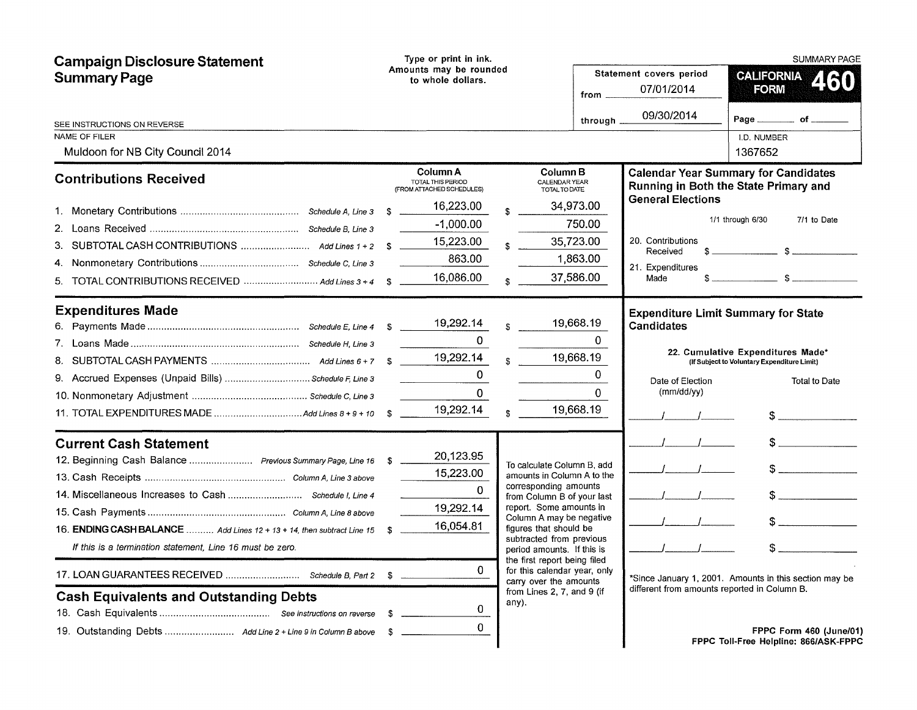| <b>Campaign Disclosure Statement</b>                                   |    | Type or print in ink.                                      |              |                                                                                        |               |                                                                                      |                                                                                  | <b>SUMMARY PAGE</b>     |
|------------------------------------------------------------------------|----|------------------------------------------------------------|--------------|----------------------------------------------------------------------------------------|---------------|--------------------------------------------------------------------------------------|----------------------------------------------------------------------------------|-------------------------|
| <b>Summary Page</b>                                                    |    | Amounts may be rounded<br>to whole dollars.                |              |                                                                                        | from $\equiv$ | Statement covers period<br>07/01/2014                                                | <b>CALIFORNIA</b><br><b>FORM</b>                                                 |                         |
| SEE INSTRUCTIONS ON REVERSE                                            |    |                                                            |              |                                                                                        | through _     | 09/30/2014                                                                           | Page $\_\_\_\_$ of $\_\_\_\$                                                     |                         |
| NAME OF FILER                                                          |    |                                                            |              |                                                                                        |               |                                                                                      | <b>I.D. NUMBER</b>                                                               |                         |
| Muldoon for NB City Council 2014                                       |    |                                                            |              |                                                                                        |               |                                                                                      | 1367652                                                                          |                         |
| <b>Contributions Received</b>                                          |    | Column A<br>TOTAL THIS PERIOD<br>(FROM ATTACHED SCHEDULES) |              | Column B<br>CALENDAR YEAR<br>TOTAL TO DATE                                             |               | <b>Calendar Year Summary for Candidates</b><br>Running in Both the State Primary and |                                                                                  |                         |
|                                                                        |    | 16,223.00                                                  |              |                                                                                        | 34,973.00     | <b>General Elections</b>                                                             |                                                                                  |                         |
|                                                                        |    | $-1,000.00$                                                |              |                                                                                        | 750.00        |                                                                                      | 1/1 through 6/30                                                                 | 7/1 to Date             |
|                                                                        |    | 15,223.00                                                  |              |                                                                                        | 35,723.00     | 20. Contributions                                                                    | $\sim$ $\sim$ $\sim$ $\sim$ $\sim$                                               |                         |
| 4.                                                                     |    | 863.00                                                     |              |                                                                                        | 1,863.00      | Received<br>21. Expenditures                                                         |                                                                                  |                         |
| 5. TOTAL CONTRIBUTIONS RECEIVED  Add Lines 3 + 4                       |    | 16,086.00                                                  | $\mathbf S$  |                                                                                        | 37,586.00     | Made<br>S.                                                                           |                                                                                  |                         |
| <b>Expenditures Made</b>                                               |    | 19,292.14                                                  |              |                                                                                        | 19,668.19     | <b>Expenditure Limit Summary for State</b><br><b>Candidates</b>                      |                                                                                  |                         |
|                                                                        |    | 0                                                          | $\mathbf{s}$ |                                                                                        | $\mathbf{0}$  |                                                                                      |                                                                                  |                         |
|                                                                        |    | 19,292.14                                                  | \$.          |                                                                                        | 19,668.19     |                                                                                      | 22. Cumulative Expenditures Made*<br>(If Subject to Voluntary Expenditure Limit) |                         |
| 9. Accrued Expenses (Unpaid Bills)  Schedule F, Line 3                 |    | 0                                                          |              |                                                                                        | 0             |                                                                                      |                                                                                  |                         |
|                                                                        |    | $\Omega$                                                   |              |                                                                                        | $\Omega$      | Date of Election<br>(mm/dd/yy)                                                       |                                                                                  | <b>Total to Date</b>    |
|                                                                        |    | 19,292.14                                                  |              |                                                                                        | 19,668.19     |                                                                                      |                                                                                  | $\sim$                  |
| <b>Current Cash Statement</b>                                          |    |                                                            |              |                                                                                        |               |                                                                                      |                                                                                  | $\frac{1}{2}$           |
| 12. Beginning Cash Balance  Previous Summary Page, Line 16 \$          |    | 20,123.95                                                  |              | To calculate Column B, add                                                             |               |                                                                                      |                                                                                  |                         |
|                                                                        |    | 15,223.00                                                  |              | amounts in Column A to the                                                             |               |                                                                                      |                                                                                  |                         |
|                                                                        |    | $\mathbf{0}$                                               |              | corresponding amounts<br>from Column B of your last                                    |               |                                                                                      |                                                                                  | $\sim$                  |
|                                                                        |    | 19,292.14                                                  |              | report. Some amounts in<br>Column A may be negative                                    |               |                                                                                      |                                                                                  |                         |
| 16. ENDING CASH BALANCE  Add Lines 12 + 13 + 14, then subtract Line 15 | -S | 16,054.81                                                  |              | figures that should be                                                                 |               |                                                                                      |                                                                                  |                         |
| If this is a termination statement, Line 16 must be zero.              |    |                                                            |              | subtracted from previous<br>period amounts. If this is                                 |               |                                                                                      |                                                                                  |                         |
|                                                                        |    | 0                                                          |              | the first report being filed<br>for this calendar year, only<br>carry over the amounts |               | Since January 1, 2001. Amounts in this section may be                                |                                                                                  |                         |
| <b>Cash Equivalents and Outstanding Debts</b>                          |    |                                                            |              | from Lines 2, 7, and 9 (if<br>any).                                                    |               | different from amounts reported in Column B.                                         |                                                                                  |                         |
|                                                                        |    | $\Omega$                                                   |              |                                                                                        |               |                                                                                      |                                                                                  |                         |
|                                                                        |    | 0                                                          |              |                                                                                        |               |                                                                                      | FPPC Toll-Free Helpline: 866/ASK-FPPC                                            | FPPC Form 460 (June/01) |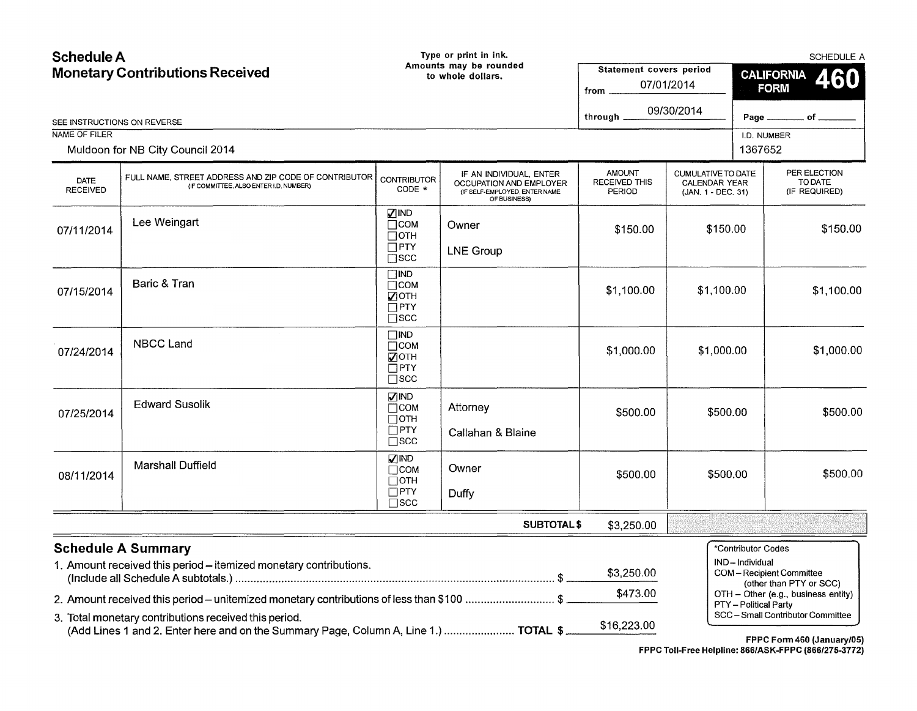| <b>Schedule A</b><br><b>Monetary Contributions Received</b> |                                                                                                                                                                                                                                                     |                                                                                     | Type or print in ink.<br>Amounts may be rounded<br>to whole dollars.                                | Statement covers period<br>from                 | 07/01/2014                                                       | SCHEDULE A<br><b>CALIFORNIA</b><br>460<br><b>FORM</b>         |                                                                                                                              |  |            |
|-------------------------------------------------------------|-----------------------------------------------------------------------------------------------------------------------------------------------------------------------------------------------------------------------------------------------------|-------------------------------------------------------------------------------------|-----------------------------------------------------------------------------------------------------|-------------------------------------------------|------------------------------------------------------------------|---------------------------------------------------------------|------------------------------------------------------------------------------------------------------------------------------|--|------------|
| SEE INSTRUCTIONS ON REVERSE                                 |                                                                                                                                                                                                                                                     |                                                                                     |                                                                                                     | through _                                       | 09/30/2014                                                       |                                                               | Page _________ of ____                                                                                                       |  |            |
| NAME OF FILER                                               |                                                                                                                                                                                                                                                     |                                                                                     |                                                                                                     |                                                 |                                                                  | I.D. NUMBER                                                   |                                                                                                                              |  |            |
|                                                             | Muldoon for NB City Council 2014                                                                                                                                                                                                                    |                                                                                     |                                                                                                     |                                                 |                                                                  | 1367652                                                       |                                                                                                                              |  |            |
| <b>DATE</b><br><b>RECEIVED</b>                              | FULL NAME, STREET ADDRESS AND ZIP CODE OF CONTRIBUTOR<br>(IF COMMITTEE, ALSO ENTER I.D. NUMBER)                                                                                                                                                     | <b>CONTRIBUTOR</b><br>CODE *                                                        | IF AN INDIVIDUAL, ENTER<br>OCCUPATION AND EMPLOYER<br>(IF SELF-EMPLOYED, ENTER NAME<br>OF BUSINESS) | <b>AMOUNT</b><br><b>RECEIVED THIS</b><br>PERIOD | CUMULATIVE TO DATE<br><b>CALENDAR YEAR</b><br>(JAN. 1 - DEC. 31) |                                                               | PER ELECTION<br>TO DATE<br>(IF REQUIRED)                                                                                     |  |            |
| 07/11/2014                                                  | Lee Weingart                                                                                                                                                                                                                                        | <b>VIND</b><br>$\Box$ COM<br>$\Box$ OTH<br>$\Box$ PTY                               | Owner<br><b>LNE Group</b>                                                                           | \$150.00                                        | \$150.00                                                         |                                                               | \$150.00                                                                                                                     |  |            |
| 07/15/2014                                                  | Baric & Tran                                                                                                                                                                                                                                        | $\square$ scc<br>$\square$ IND<br>$\Box$ COM<br>⊽отн<br>$\Box$ PTY<br>$\square$ scc |                                                                                                     | \$1,100.00                                      | \$1.100.00                                                       |                                                               |                                                                                                                              |  | \$1,100.00 |
| 07/24/2014                                                  | <b>NBCC Land</b>                                                                                                                                                                                                                                    | $\square$ ind<br>$\Box$ COM<br>⊽отн<br>$\square$ PTY<br>$\square$ scc               |                                                                                                     | \$1,000.00                                      | \$1,000.00                                                       |                                                               | \$1,000.00                                                                                                                   |  |            |
| 07/25/2014                                                  | <b>Edward Susolik</b>                                                                                                                                                                                                                               | <b>VIND</b><br>Псом<br>$\Box$ OTH<br>$\Box$ PTY<br>$\square$ scc                    | Attorney<br>Callahan & Blaine                                                                       | \$500.00                                        | \$500.00                                                         |                                                               | \$500.00                                                                                                                     |  |            |
| 08/11/2014                                                  | <b>Marshall Duffield</b>                                                                                                                                                                                                                            | $\nabla$ IND<br>$\Box$ COM<br>$\Box$ OTH<br>$\Box$ PTY<br>$\square$ scc             | Owner<br>Duffy                                                                                      | \$500.00                                        | \$500.00                                                         |                                                               | \$500.00                                                                                                                     |  |            |
|                                                             |                                                                                                                                                                                                                                                     |                                                                                     | <b>SUBTOTAL \$</b>                                                                                  | \$3,250.00                                      |                                                                  |                                                               |                                                                                                                              |  |            |
|                                                             | <b>Schedule A Summary</b><br>1. Amount received this period - itemized monetary contributions.<br>2. Amount received this period - unitemized monetary contributions of less than \$100 \$<br>3. Total monetary contributions received this period. |                                                                                     |                                                                                                     | \$3,250.00<br>\$473.00<br>\$16,223.00           |                                                                  | *Contributor Codes<br>IND-Individual<br>PTY - Political Party | COM-Recipient Committee<br>(other than PTY or SCC)<br>OTH - Other (e.g., business entity)<br>SCC-Small Contributor Committee |  |            |
|                                                             | (Add Lines 1 and 2. Enter here and on the Summary Page, Column A, Line 1.)  TOTAL \$                                                                                                                                                                |                                                                                     |                                                                                                     |                                                 |                                                                  |                                                               | FPPC Form 460 (January/05)                                                                                                   |  |            |

FPPC Toll-Free Helpline: 866/ASK-FPPC (866/275-3772)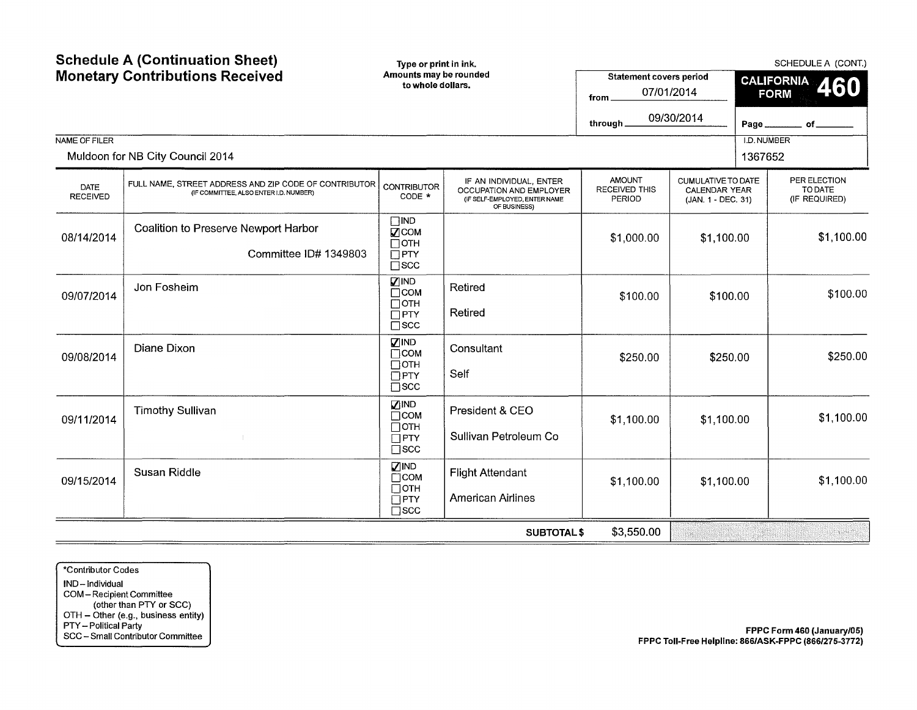| <b>Schedule A (Continuation Sheet)</b><br><b>Monetary Contributions Received</b> |                                                                                                 |                                                                                              | Type or print in ink.<br>Amounts may be rounded<br>to whole dollars.                                | <b>Statement covers period</b><br>07/01/2014<br>from .<br>through. | 09/30/2014                                                       | SCHEDULE A (CONT.)<br><b>CALIFORNIA</b><br>460<br><b>FORM</b><br>Page<br>of |                                          |  |            |
|----------------------------------------------------------------------------------|-------------------------------------------------------------------------------------------------|----------------------------------------------------------------------------------------------|-----------------------------------------------------------------------------------------------------|--------------------------------------------------------------------|------------------------------------------------------------------|-----------------------------------------------------------------------------|------------------------------------------|--|------------|
| NAME OF FILER                                                                    |                                                                                                 |                                                                                              |                                                                                                     |                                                                    |                                                                  | I.D. NUMBER                                                                 |                                          |  |            |
|                                                                                  | Muldoon for NB City Council 2014                                                                |                                                                                              |                                                                                                     |                                                                    |                                                                  | 1367652                                                                     |                                          |  |            |
| DATE<br><b>RECEIVED</b>                                                          | FULL NAME, STREET ADDRESS AND ZIP CODE OF CONTRIBUTOR<br>(IF COMMITTEE, ALSO ENTER I.D. NUMBER) | <b>CONTRIBUTOR</b><br>CODE *                                                                 | IF AN INDIVIDUAL, ENTER<br>OCCUPATION AND EMPLOYER<br>(IF SELF-EMPLOYED, ENTER NAME<br>OF BUSINESS) | <b>AMOUNT</b><br>RECEIVED THIS<br>PERIOD                           | CUMULATIVE TO DATE<br><b>CALENDAR YEAR</b><br>(JAN. 1 - DEC. 31) |                                                                             | PER ELECTION<br>TO DATE<br>(IF REQUIRED) |  |            |
| 08/14/2014                                                                       | Coalition to Preserve Newport Harbor<br>Committee ID# 1349803                                   | $\square$ IND<br>$\sqrt{2}$ COM<br>$\Box$ OTH<br>$\Box$ PTY<br>$\square$ scc                 |                                                                                                     | \$1,000.00                                                         | \$1,100.00                                                       |                                                                             |                                          |  | \$1,100.00 |
| 09/07/2014                                                                       | Jon Fosheim                                                                                     | $\nabla$ IND<br>$\Box$ COM<br>$\Box$ OTH<br>$\Box$ PTY<br>$\square$ scc                      | Retired<br>Retired                                                                                  | \$100.00                                                           | \$100.00                                                         |                                                                             | \$100.00                                 |  |            |
| 09/08/2014                                                                       | Diane Dixon                                                                                     | $\nabla$ IND<br>$\Box$ COM<br>$\Box$ OTH<br>$\overline{\Box}$ PTY<br>$\square$ scc           | Consultant<br>Self                                                                                  | \$250.00                                                           | \$250.00                                                         |                                                                             | \$250.00                                 |  |            |
| 09/11/2014                                                                       | <b>Timothy Sullivan</b>                                                                         | $\nabla$ IND<br>$\Box$ COM<br>$\Box$ OTH<br>$\Box$ PTY<br>$\square$ scc                      | President & CEO<br>Sullivan Petroleum Co                                                            | \$1,100.00                                                         | \$1,100.00                                                       |                                                                             |                                          |  | \$1,100.00 |
| 09/15/2014                                                                       | <b>Susan Riddle</b>                                                                             | <b>ZIND</b><br>$\overline{\Box}$ COM<br>$\Box$ OTH<br>$\overline{\Box}$ PTY<br>$\square$ scc | <b>Flight Attendant</b><br><b>American Airlines</b>                                                 | \$1,100.00                                                         | \$1,100.00                                                       |                                                                             | \$1,100.00                               |  |            |
|                                                                                  |                                                                                                 |                                                                                              | <b>SUBTOTAL\$</b>                                                                                   | \$3,550.00                                                         |                                                                  |                                                                             |                                          |  |            |

\*Contributor Codes IND -Individual COM- Recipient Committee (other than PTY or SCC) OTH - Other (e.g., business entity) PTY- Political Party SCC- Small Contributor Committee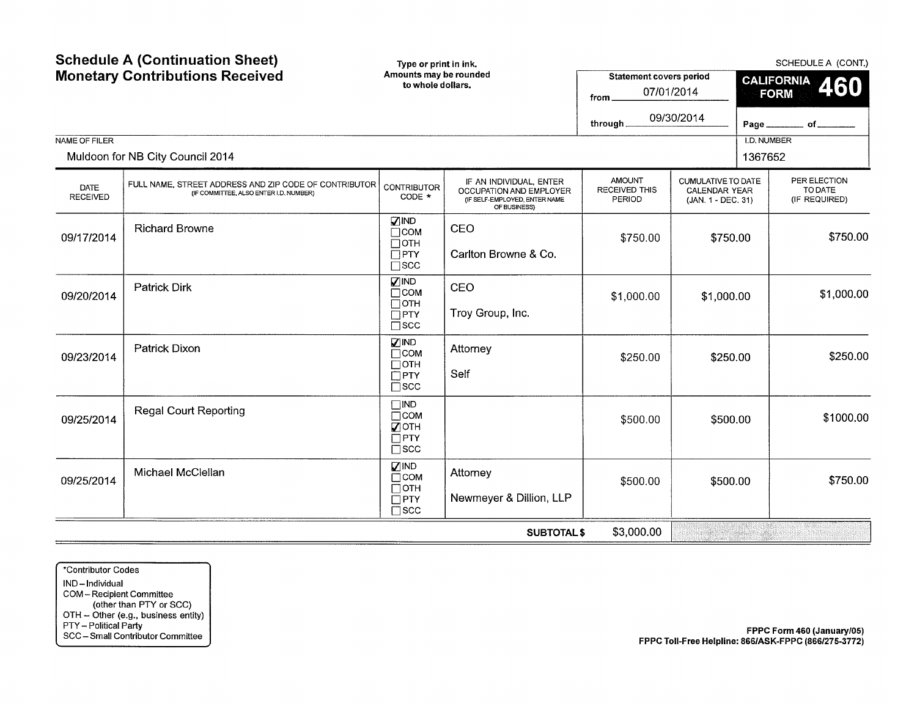| <b>Schedule A (Continuation Sheet)</b><br><b>Monetary Contributions Received</b> |                                                                                                 | Type or print in ink.<br>Amounts may be rounded<br>to whole dollars.      |                                                                                                     | <b>Statement covers period</b><br>from<br>through. | 07/01/2014<br>09/30/2014                                         | SCHEDULE A (CONT.)<br><b>CALIFORNIA</b><br>460<br><b>FORM</b><br>_______ of ___<br>Page_ |                                          |  |          |
|----------------------------------------------------------------------------------|-------------------------------------------------------------------------------------------------|---------------------------------------------------------------------------|-----------------------------------------------------------------------------------------------------|----------------------------------------------------|------------------------------------------------------------------|------------------------------------------------------------------------------------------|------------------------------------------|--|----------|
| NAME OF FILER                                                                    | Muldoon for NB City Council 2014                                                                |                                                                           |                                                                                                     |                                                    |                                                                  | I.D. NUMBER<br>1367652                                                                   |                                          |  |          |
| <b>DATE</b><br><b>RECEIVED</b>                                                   | FULL NAME, STREET ADDRESS AND ZIP CODE OF CONTRIBUTOR<br>(IF COMMITTEE, ALSO ENTER I.D. NUMBER) | <b>CONTRIBUTOR</b><br>CODE *                                              | IF AN INDIVIDUAL, ENTER<br>OCCUPATION AND EMPLOYER<br>(IF SELF-EMPLOYED, ENTER NAME<br>OF BUSINESS) | <b>AMOUNT</b><br>RECEIVED THIS<br>PERIOD           | CUMULATIVE TO DATE<br><b>CALENDAR YEAR</b><br>(JAN. 1 - DEC. 31) |                                                                                          | PER ELECTION<br>TO DATE<br>(IF REQUIRED) |  |          |
| 09/17/2014                                                                       | <b>Richard Browne</b>                                                                           | <b>ZIND</b><br>$\Box$ COM<br>$\Box$ OTH<br>$\Box$ PTY<br>$\square$ scc    | CEO<br>Carlton Browne & Co.                                                                         | \$750.00                                           | \$750.00                                                         |                                                                                          |                                          |  | \$750.00 |
| 09/20/2014                                                                       | <b>Patrick Dirk</b>                                                                             | <b>VIND</b><br>$\Box$ COM<br>$\Box$ OTH<br>$\Box$ PTY<br>$\square$ scc    | CEO<br>Troy Group, Inc.                                                                             | \$1,000.00                                         | \$1,000.00                                                       |                                                                                          | \$1,000.00                               |  |          |
| 09/23/2014                                                                       | Patrick Dixon                                                                                   | <b>ZIND</b><br>$\Box$ COM<br>$\Box$ OTH<br>$\Box$ PTY<br>$\square$ scc    | Attorney<br>Self                                                                                    | \$250.00                                           | \$250.00                                                         |                                                                                          | \$250.00                                 |  |          |
| 09/25/2014                                                                       | <b>Regal Court Reporting</b>                                                                    | $\Box$ IND<br>$\Box$ COM<br><b>√</b> ОТН<br>$\Box$ PTY<br>$\square$ scc   |                                                                                                     | \$500.00                                           | \$500.00                                                         |                                                                                          | \$1000.00                                |  |          |
| 09/25/2014                                                                       | Michael McClellan                                                                               | <b>ZIND</b><br>$\Box$ COM<br>$\square$ OTH<br>$\Box$ PTY<br>$\square$ scc | Attorney<br>Newmeyer & Dillion, LLP                                                                 | \$500.00                                           | \$500.00                                                         |                                                                                          | \$750.00                                 |  |          |
|                                                                                  |                                                                                                 |                                                                           | <b>SUBTOTAL \$</b>                                                                                  | \$3,000.00                                         |                                                                  |                                                                                          |                                          |  |          |

\*Contributor Codes IND-Individual COM- Recipient Committee (other than PTY or SCC) OTH- Other (e.g., business entity) PTY- Political Party SCC- Small Contributor Committee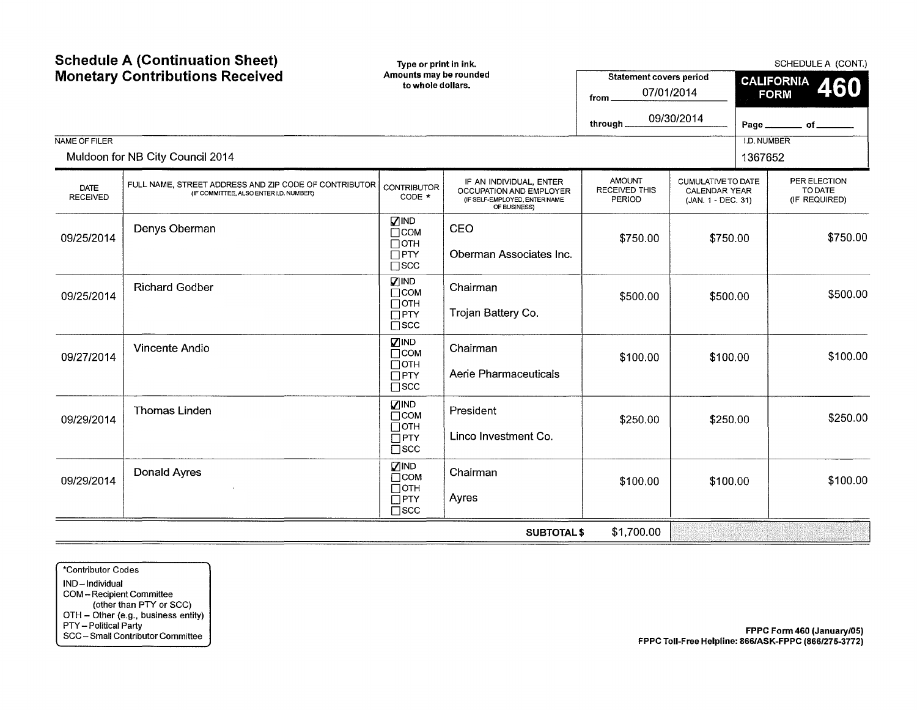| <b>Schedule A (Continuation Sheet)</b><br><b>Monetary Contributions Received</b><br><b>NAME OF FILER</b><br>Muldoon for NB City Council 2014 |                                                                                                 | Type or print in ink.<br>Amounts may be rounded<br>to whole dollars.   |                                                                                                     | <b>Statement covers period</b><br>07/01/2014<br>from<br>through. | 09/30/2014                                                              | SCHEDULE A (CONT.)<br><b>CALIFORNIA</b><br>460<br><b>FORM</b><br>Page.<br>of $\_$<br><b>I.D. NUMBER</b><br>1367652 |                                          |  |          |
|----------------------------------------------------------------------------------------------------------------------------------------------|-------------------------------------------------------------------------------------------------|------------------------------------------------------------------------|-----------------------------------------------------------------------------------------------------|------------------------------------------------------------------|-------------------------------------------------------------------------|--------------------------------------------------------------------------------------------------------------------|------------------------------------------|--|----------|
|                                                                                                                                              |                                                                                                 |                                                                        |                                                                                                     |                                                                  |                                                                         |                                                                                                                    |                                          |  |          |
| DATE<br><b>RECEIVED</b>                                                                                                                      | FULL NAME, STREET ADDRESS AND ZIP CODE OF CONTRIBUTOR<br>(IF COMMITTEE, ALSO ENTER I.D. NUMBER) | <b>CONTRIBUTOR</b><br>CODE *                                           | IF AN INDIVIDUAL, ENTER<br>OCCUPATION AND EMPLOYER<br>(IF SELF-EMPLOYED, ENTER NAME<br>OF BUSINESS) | <b>AMOUNT</b><br><b>RECEIVED THIS</b><br>PERIOD                  | <b>CUMULATIVE TO DATE</b><br><b>CALENDAR YEAR</b><br>(JAN. 1 - DEC. 31) |                                                                                                                    | PER ELECTION<br>TO DATE<br>(IF REQUIRED) |  |          |
| 09/25/2014                                                                                                                                   | Denys Oberman                                                                                   | $\nabla$ IND<br>$\Box$ COM<br>$\Box$ OTH<br>$\Box$ PTY<br>$\Box$ scc   | CEO<br>Oberman Associates Inc.                                                                      | \$750.00                                                         | \$750.00                                                                |                                                                                                                    |                                          |  | \$750.00 |
| 09/25/2014                                                                                                                                   | <b>Richard Godber</b>                                                                           | <b>VIND</b><br>$\Box$ COM<br>$\Box$ OTH<br>$\Box$ PTY<br>$\square$ scc | Chairman<br>Trojan Battery Co.                                                                      | \$500.00                                                         | \$500.00                                                                |                                                                                                                    | \$500.00                                 |  |          |
| 09/27/2014                                                                                                                                   | Vincente Andio                                                                                  | <b>VIND</b><br>$\Box$ COM<br>$\Box$ OTH<br>$\Box$ PTY<br>$\square$ scc | Chairman<br>Aerie Pharmaceuticals                                                                   | \$100.00                                                         | \$100.00                                                                |                                                                                                                    | \$100.00                                 |  |          |
| 09/29/2014                                                                                                                                   | <b>Thomas Linden</b>                                                                            | <b>ZIND</b><br>$\Box$ COM<br>$\Box$ OTH<br>$\Box$ PTY<br>$\square$ scc | President<br>Linco Investment Co.                                                                   | \$250.00                                                         | \$250.00                                                                |                                                                                                                    |                                          |  | \$250.00 |
| 09/29/2014                                                                                                                                   | Donald Ayres                                                                                    | <b>ZIND</b><br>$\Box$ COM<br>$\Box$ OTH<br>$\Box$ PTY<br>$\square$ scc | Chairman<br>Ayres                                                                                   | \$100.00                                                         | \$100.00                                                                |                                                                                                                    | \$100.00                                 |  |          |
|                                                                                                                                              |                                                                                                 |                                                                        | <b>SUBTOTAL\$</b>                                                                                   | \$1,700.00                                                       |                                                                         |                                                                                                                    |                                          |  |          |

\*Contributor Codes IND-Individual COM - Recipient Committee (other than PTY or SCC) OTH- Other (e.g., business entity) PTY- Political Party SCC- Small Contributor Committee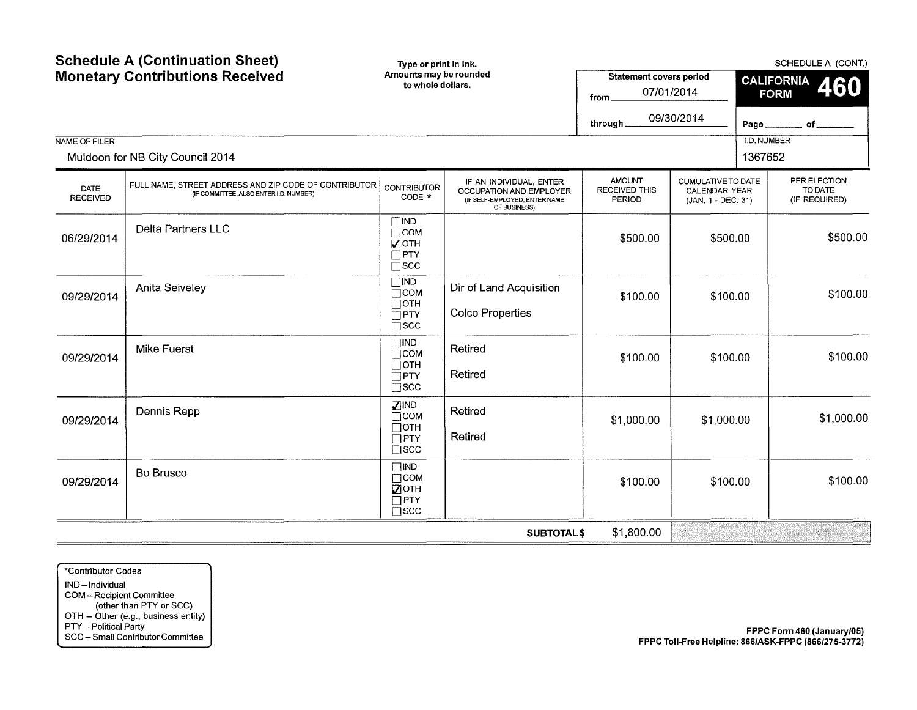|                         | <b>Schedule A (Continuation Sheet)</b><br>Type or print in ink.<br><b>Monetary Contributions Received</b><br>Amounts may be rounded<br>to whole dollars. |                                                                                  |                                                                                                     | <b>Statement covers period</b><br>from                 | 07/01/2014                                                       | SCHEDULE A (CONT.)<br><b>CALIFORNIA</b><br>460<br><b>FORM</b> |                                          |  |
|-------------------------|----------------------------------------------------------------------------------------------------------------------------------------------------------|----------------------------------------------------------------------------------|-----------------------------------------------------------------------------------------------------|--------------------------------------------------------|------------------------------------------------------------------|---------------------------------------------------------------|------------------------------------------|--|
|                         |                                                                                                                                                          |                                                                                  |                                                                                                     | through.                                               | 09/30/2014                                                       | Page,                                                         | $of$ <sub>---</sub>                      |  |
| NAME OF FILER           | Muldoon for NB City Council 2014                                                                                                                         |                                                                                  |                                                                                                     |                                                        |                                                                  | <b>I.D. NUMBER</b><br>1367652                                 |                                          |  |
| DATE<br><b>RECEIVED</b> | FULL NAME, STREET ADDRESS AND ZIP CODE OF CONTRIBUTOR<br>(IF COMMITTEE, ALSO ENTER I.D. NUMBER)                                                          | <b>CONTRIBUTOR</b><br>CODE *                                                     | IF AN INDIVIDUAL, ENTER<br>OCCUPATION AND EMPLOYER<br>(IF SELF-EMPLOYED, ENTER NAME<br>OF BUSINESS) | <b>AMOUNT</b><br><b>RECEIVED THIS</b><br><b>PERIOD</b> | CUMULATIVE TO DATE<br><b>CALENDAR YEAR</b><br>(JAN. 1 - DEC. 31) |                                                               | PER ELECTION<br>TO DATE<br>(IF REQUIRED) |  |
| 06/29/2014              | <b>Delta Partners LLC</b>                                                                                                                                | $\square$ IND<br>$\Box$ COM<br>$\nabla$ OTH<br>$\Box$ PTY<br>$\square$ scc       |                                                                                                     | \$500.00                                               |                                                                  | \$500.00<br>\$500.00                                          |                                          |  |
| 09/29/2014              | Anita Seiveley                                                                                                                                           | $\square$ IND<br>$\Box$ COM<br>$\Box$ OTH<br>$\Box$ PTY<br>$\overline{\Box}$ scc | Dir of Land Acquisition<br><b>Colco Properties</b>                                                  | \$100.00                                               | \$100.00                                                         |                                                               | \$100.00                                 |  |
| 09/29/2014              | Mike Fuerst                                                                                                                                              | $\square$ IND<br>$\Box$ COM<br>$\Box$ OTH<br>$\Box$ PTY<br>$\square$ scc         | Retired<br>Retired                                                                                  | \$100.00                                               | \$100.00                                                         |                                                               | \$100.00                                 |  |
| 09/29/2014              | Dennis Repp                                                                                                                                              | <b>ZIND</b><br>$\Box$ COM<br>$\Box$ OTH<br>$\Box$ PTY<br>$\Box$ scc              | Retired<br>Retired                                                                                  | \$1,000.00<br>\$1,000.00                               |                                                                  |                                                               | \$1,000.00                               |  |
| 09/29/2014              | <b>Bo Brusco</b>                                                                                                                                         | $\Box$ IND<br>$\Box$ COM<br>■ОТН<br>$\Box$ PTY<br>$\square$ scc                  |                                                                                                     | \$100.00                                               | \$100.00                                                         |                                                               | \$100.00                                 |  |
|                         |                                                                                                                                                          |                                                                                  | <b>SUBTOTAL\$</b>                                                                                   | \$1,800.00                                             | a wa                                                             |                                                               | <u>ti valokan</u><br>53.QQ               |  |

\*Contributor Codes IND -Individual COM- Recipient Committee (other than PTY or SCC) OTH- Other (e.g., business entity) PTY- Political Party SCC- Small Contributor Committee

FPPC Form 460 (January/05) FPPC Toll-Free Helpline: 866/ASK-FPPC (866/275-3772)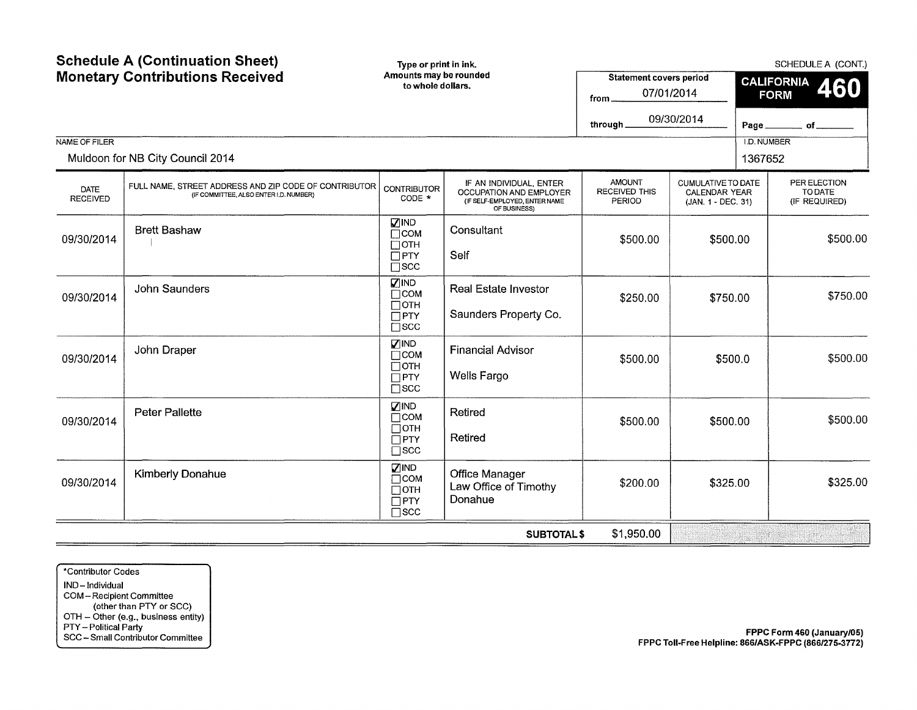| NAME OF FILER           | <b>Schedule A (Continuation Sheet)</b><br>Type or print in ink.<br><b>Monetary Contributions Received</b><br>Amounts may be rounded<br>to whole dollars. |                                                                           |                                                                                                     | <b>Statement covers period</b><br>from<br>through.     | 07/01/2014<br>09/30/2014                                  | Page.<br><b>I.D. NUMBER</b> | SCHEDULE A (CONT.)<br><b>CALIFORNIA</b><br>460<br><b>FORM</b><br>of |
|-------------------------|----------------------------------------------------------------------------------------------------------------------------------------------------------|---------------------------------------------------------------------------|-----------------------------------------------------------------------------------------------------|--------------------------------------------------------|-----------------------------------------------------------|-----------------------------|---------------------------------------------------------------------|
|                         | Muldoon for NB City Council 2014                                                                                                                         |                                                                           |                                                                                                     |                                                        |                                                           | 1367652                     |                                                                     |
| DATE<br><b>RECEIVED</b> | FULL NAME, STREET ADDRESS AND ZIP CODE OF CONTRIBUTOR<br>(IF COMMITTEE, ALSO ENTER I.D. NUMBER)                                                          | <b>CONTRIBUTOR</b><br>CODE *                                              | IF AN INDIVIDUAL, ENTER<br>OCCUPATION AND EMPLOYER<br>(IF SELF-EMPLOYED, ENTER NAME<br>OF BUSINESS) | <b>AMOUNT</b><br><b>RECEIVED THIS</b><br><b>PERIOD</b> | CUMULATIVE TO DATE<br>CALENDAR YEAR<br>(JAN. 1 - DEC. 31) |                             | PER ELECTION<br>TO DATE<br>(IF REQUIRED)                            |
| 09/30/2014              | <b>Brett Bashaw</b>                                                                                                                                      | <b>ZIND</b><br>$\Box$ COM<br>$\square$ OTH<br>$\Box$ PTY<br>$\square$ scc | Consultant<br>Self                                                                                  | \$500.00<br>\$500.00                                   |                                                           |                             | \$500.00                                                            |
| 09/30/2014              | <b>John Saunders</b>                                                                                                                                     | <b>ZIND</b><br>$\Box$ COM<br>$\Box$ OTH<br>$\Box$ PTY<br>$\square$ SCC    | Real Estate Investor<br>Saunders Property Co.                                                       | \$250.00                                               | \$750.00                                                  |                             | \$750.00                                                            |
| 09/30/2014              | John Draper                                                                                                                                              | $\nabla$ IND<br>$\Box$ COM<br>$\Box$ OTH<br>$\Box$ PTY<br>$\square$ scc   | <b>Financial Advisor</b><br><b>Wells Fargo</b>                                                      | \$500.00                                               | \$500.0                                                   |                             | \$500.00                                                            |
| 09/30/2014              | <b>Peter Pallette</b>                                                                                                                                    | $\square$ IND<br>$\Box$ COM<br>$\Box$ OTH<br>$\Box$ PTY<br>$\square$ scc  | Retired<br>Retired                                                                                  | \$500.00<br>\$500.00                                   |                                                           |                             | \$500.00                                                            |
| 09/30/2014              | Kimberly Donahue                                                                                                                                         | <b>ZIND</b><br>$\Box$ COM<br>$\Box$ OTH<br>$\Box$ PTY<br>$\square$ scc    | Office Manager<br>Law Office of Timothy<br>Donahue                                                  | \$200.00<br>\$325.00                                   |                                                           |                             | \$325.00                                                            |
|                         |                                                                                                                                                          |                                                                           | <b>SUBTOTAL\$</b>                                                                                   | \$1,950.00                                             |                                                           |                             |                                                                     |

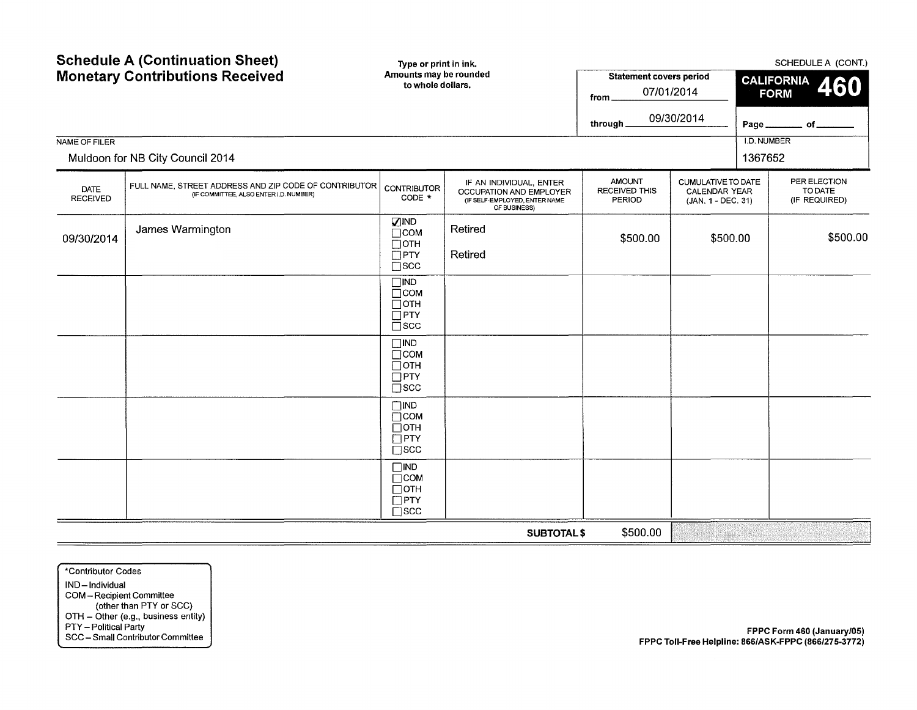|                                | <b>Schedule A (Continuation Sheet)</b><br><b>Monetary Contributions Received</b>                |                                                                          | Type or print in ink.<br>Amounts may be rounded                                                     | <b>Statement covers period</b>                  |                                                                  | SCHEDULE A (CONT.)<br><b>CALIFORNIA</b> |                                          |  |
|--------------------------------|-------------------------------------------------------------------------------------------------|--------------------------------------------------------------------------|-----------------------------------------------------------------------------------------------------|-------------------------------------------------|------------------------------------------------------------------|-----------------------------------------|------------------------------------------|--|
|                                |                                                                                                 | to whole dollars.                                                        |                                                                                                     | from                                            | 07/01/2014                                                       |                                         | 460<br><b>FORM</b>                       |  |
|                                |                                                                                                 |                                                                          |                                                                                                     | through_                                        | 09/30/2014                                                       | Page.                                   | _ of ___                                 |  |
| NAME OF FILER                  | Muldoon for NB City Council 2014                                                                |                                                                          |                                                                                                     |                                                 |                                                                  | <b>I.D. NUMBER</b><br>1367652           |                                          |  |
| <b>DATE</b><br><b>RECEIVED</b> | FULL NAME, STREET ADDRESS AND ZIP CODE OF CONTRIBUTOR<br>(IF COMMITTEE, ALSO ENTER I.D. NUMBER) | <b>CONTRIBUTOR</b><br>CODE *                                             | IF AN INDIVIDUAL, ENTER<br>OCCUPATION AND EMPLOYER<br>(IF SELF-EMPLOYED, ENTER NAME<br>OF BUSINESS) | <b>AMOUNT</b><br><b>RECEIVED THIS</b><br>PERIOD | CUMULATIVE TO DATE<br><b>CALENDAR YEAR</b><br>(JAN. 1 - DEC. 31) |                                         | PER ELECTION<br>TO DATE<br>(IF REQUIRED) |  |
| 09/30/2014                     | James Warmington                                                                                | <b>VIND</b><br>$\Box$ COM<br>$\square$ OTH                               | Retired                                                                                             | \$500.00<br>\$500.00                            |                                                                  |                                         | \$500.00                                 |  |
|                                |                                                                                                 | $\Box$ PTY<br>$\square$ scc                                              | Retired                                                                                             |                                                 |                                                                  |                                         |                                          |  |
|                                |                                                                                                 | $\Box$ IND<br>$\Box$ COM<br>$\Box$ OTH<br>$\Box$ PTY                     |                                                                                                     |                                                 |                                                                  |                                         |                                          |  |
|                                |                                                                                                 | $\square$ scc                                                            |                                                                                                     |                                                 |                                                                  |                                         |                                          |  |
|                                |                                                                                                 | $\square$ IND<br>$\Box$ COM<br>$\Box$ OTH<br>$\Box$ PTY<br>$\square$ scc |                                                                                                     |                                                 |                                                                  |                                         |                                          |  |
|                                |                                                                                                 | $\Box$ IND<br>$\Box$ COM<br>$\Box$ OTH<br>$\Box$ PTY                     |                                                                                                     |                                                 |                                                                  |                                         |                                          |  |
|                                |                                                                                                 | $\square$ scc                                                            |                                                                                                     |                                                 |                                                                  |                                         |                                          |  |
|                                |                                                                                                 | $\Box$ IND<br>$\Box$ COM<br>$\Box$ OTH<br>$\square$ PTY<br>$\square$ scc |                                                                                                     |                                                 |                                                                  |                                         |                                          |  |
|                                |                                                                                                 |                                                                          | <b>SUBTOTAL\$</b>                                                                                   | \$500.00                                        |                                                                  |                                         |                                          |  |

\*Contributor Codes IND-Individual COM- Recipient Committee (other than PTY or SCC) OTH- Other (e.g., business entity) PTY- Political Party SCC- Small Contributor Committee

FPPC Form 460 (January/05) FPPC Toll-Free Helpline: 866/ASK-FPPC (866/275-3772)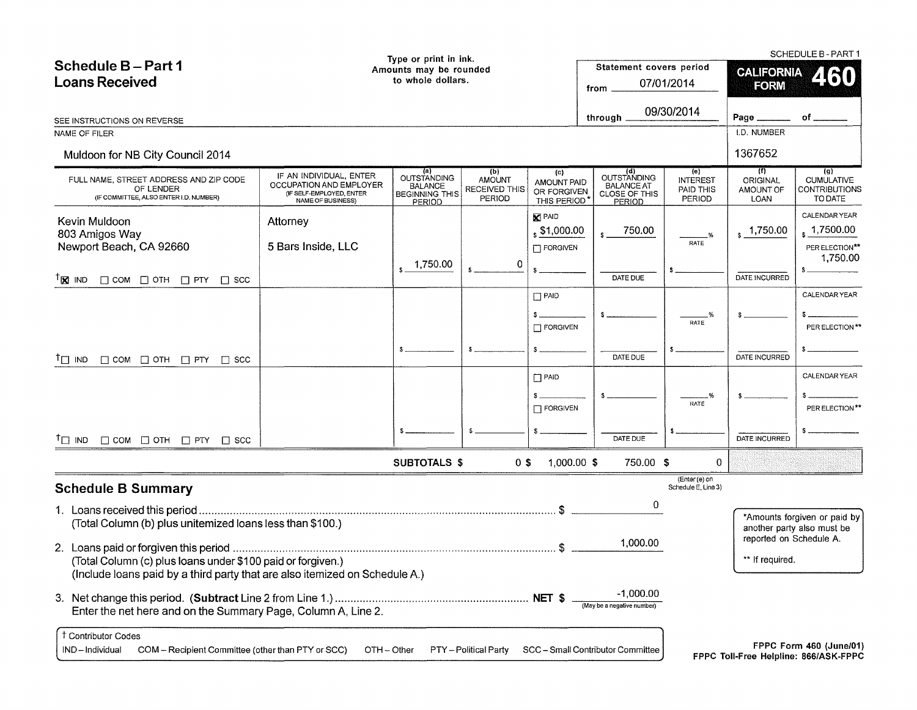|                                                                                                                                            |                                                                          | Type or print in ink.                                    |                                |                            |                                              |                                      |                         | SCHEDULE B-PART1                                           |  |  |  |
|--------------------------------------------------------------------------------------------------------------------------------------------|--------------------------------------------------------------------------|----------------------------------------------------------|--------------------------------|----------------------------|----------------------------------------------|--------------------------------------|-------------------------|------------------------------------------------------------|--|--|--|
| Schedule B-Part 1                                                                                                                          |                                                                          | Amounts may be rounded                                   |                                |                            | Statement covers period                      |                                      |                         | <b>CALIFORNIA</b><br>LIXII<br><b>FORM</b>                  |  |  |  |
| <b>Loans Received</b>                                                                                                                      |                                                                          | to whole dollars.                                        |                                |                            | from.                                        | 07/01/2014                           |                         |                                                            |  |  |  |
|                                                                                                                                            |                                                                          |                                                          |                                |                            |                                              |                                      |                         |                                                            |  |  |  |
| SEE INSTRUCTIONS ON REVERSE                                                                                                                |                                                                          |                                                          |                                |                            | through $\overline{\phantom{a}}$             | 09/30/2014                           | Page ______             | of $\_$                                                    |  |  |  |
| NAME OF FILER                                                                                                                              |                                                                          |                                                          |                                |                            |                                              |                                      | <b>I.D. NUMBER</b>      |                                                            |  |  |  |
| Muldoon for NB City Council 2014                                                                                                           |                                                                          |                                                          |                                |                            |                                              |                                      | 1367652                 |                                                            |  |  |  |
| FULL NAME, STREET ADDRESS AND ZIP CODE                                                                                                     | IF AN INDIVIDUAL, ENTER                                                  | (a)<br><b>OUTSTANDING</b>                                | (b)<br><b>AMOUNT</b>           | (c)<br>AMOUNT PAID         | (d)<br>OUTSTANDING                           | (e)<br><b>INTEREST</b>               | (f)<br>ORIGINAL         | (q)<br><b>CUMULATIVE</b>                                   |  |  |  |
| OF LENDER<br>(IF COMMITTEE, ALSO ENTER I.D. NUMBER)                                                                                        | OCCUPATION AND EMPLOYER<br>(IF SELF-EMPLOYED, ENTER<br>NAME OF BUSINESS) | <b>BALANCE</b><br><b>BEGINNING THIS</b><br><b>PERIOD</b> | <b>RECEIVED THIS</b><br>PERIOD | OR FORGIVEN<br>THIS PERIOD | <b>BALANCE AT</b><br>CLOSE OF THIS<br>PERIOD | PAID THIS<br>PERIOD                  | AMOUNT OF<br>LOAN       | <b>CONTRIBUTIONS</b><br>TO DATE                            |  |  |  |
| Kevin Muldoon                                                                                                                              | Attorney                                                                 |                                                          |                                | <b>X</b> PAID              |                                              |                                      |                         | <b>CALENDAR YEAR</b>                                       |  |  |  |
| 803 Amigos Way                                                                                                                             |                                                                          |                                                          |                                | $\frac{1}{3}$ \$1,000.00   | 750.00                                       |                                      | 1,750.00                | 1,7500.00                                                  |  |  |  |
| Newport Beach, CA 92660                                                                                                                    | 5 Bars Inside, LLC                                                       |                                                          |                                | $\Box$ FORGIVEN            |                                              | RATE                                 |                         | PER ELECTION**                                             |  |  |  |
|                                                                                                                                            |                                                                          | 1,750.00                                                 | 0                              |                            |                                              |                                      |                         | 1,750.00                                                   |  |  |  |
| $T_{\mathbf{X}}$ IND<br>$\Box$ COM $\Box$ OTH $\Box$ PTY $\Box$ SCC                                                                        |                                                                          |                                                          |                                |                            | DATE DUE                                     |                                      | DATE INCURRED           |                                                            |  |  |  |
|                                                                                                                                            |                                                                          |                                                          |                                | $\Box$ PAID                |                                              |                                      |                         | CALENDAR YEAR                                              |  |  |  |
|                                                                                                                                            |                                                                          |                                                          |                                |                            |                                              |                                      |                         |                                                            |  |  |  |
|                                                                                                                                            |                                                                          |                                                          |                                | $\Box$ FORGIVEN            |                                              | RATE                                 |                         | PER ELECTION **                                            |  |  |  |
|                                                                                                                                            |                                                                          |                                                          |                                |                            |                                              |                                      |                         |                                                            |  |  |  |
| $T_{\square}$ IND<br>$\Box$ COM $\Box$ OTH $\Box$ PTY $\Box$ SCC                                                                           |                                                                          |                                                          |                                |                            | DATE DUE                                     |                                      | DATE INCURRED           |                                                            |  |  |  |
|                                                                                                                                            |                                                                          |                                                          |                                | $\Box$ PAID                |                                              |                                      |                         | CALENDAR YEAR                                              |  |  |  |
|                                                                                                                                            |                                                                          |                                                          |                                |                            |                                              | .%                                   |                         |                                                            |  |  |  |
|                                                                                                                                            |                                                                          |                                                          |                                | $\Box$ FORGIVEN            |                                              | RATE                                 |                         | PER ELECTION**                                             |  |  |  |
|                                                                                                                                            |                                                                          |                                                          |                                |                            |                                              |                                      |                         |                                                            |  |  |  |
| $T \Box$ IND<br>$\Box$ COM $\Box$ OTH $\Box$ PTY $\Box$ SCC                                                                                |                                                                          |                                                          |                                |                            | DATE DUE                                     |                                      | DATE INCURRED           |                                                            |  |  |  |
|                                                                                                                                            |                                                                          | <b>SUBTOTALS \$</b>                                      | $0$ \$                         | $1,000.00$ \$              | 750.00 \$                                    | $\mathbf 0$                          |                         |                                                            |  |  |  |
| <b>Schedule B Summary</b>                                                                                                                  |                                                                          |                                                          |                                |                            |                                              | (Enter (e) on<br>Schedule E, Line 3) |                         |                                                            |  |  |  |
|                                                                                                                                            |                                                                          |                                                          |                                |                            | 0                                            |                                      |                         |                                                            |  |  |  |
| (Total Column (b) plus unitemized loans less than \$100.)                                                                                  |                                                                          |                                                          |                                |                            |                                              |                                      |                         | *Amounts forgiven or paid by<br>another party also must be |  |  |  |
|                                                                                                                                            |                                                                          |                                                          |                                |                            | 1,000.00                                     |                                      | reported on Schedule A. |                                                            |  |  |  |
| (Total Column (c) plus loans under \$100 paid or forgiven.)<br>(Include loans paid by a third party that are also itemized on Schedule A.) |                                                                          |                                                          |                                |                            |                                              |                                      | ** If required.         |                                                            |  |  |  |
|                                                                                                                                            |                                                                          |                                                          |                                |                            | -1,000.00                                    |                                      |                         |                                                            |  |  |  |
| Enter the net here and on the Summary Page, Column A, Line 2.                                                                              |                                                                          |                                                          |                                |                            | (May be a negative number)                   |                                      |                         |                                                            |  |  |  |
| <sup>†</sup> Contributor Codes                                                                                                             |                                                                          |                                                          |                                |                            |                                              |                                      |                         | FPPC Form 460 (June/01)                                    |  |  |  |
| IND-Individual<br>COM - Recipient Committee (other than PTY or SCC)                                                                        |                                                                          | OTH - Other                                              | PTY - Political Party          |                            | SCC - Small Contributor Committee            |                                      |                         | FPPC Toll-Free Helpline: 866/ASK-FPPC                      |  |  |  |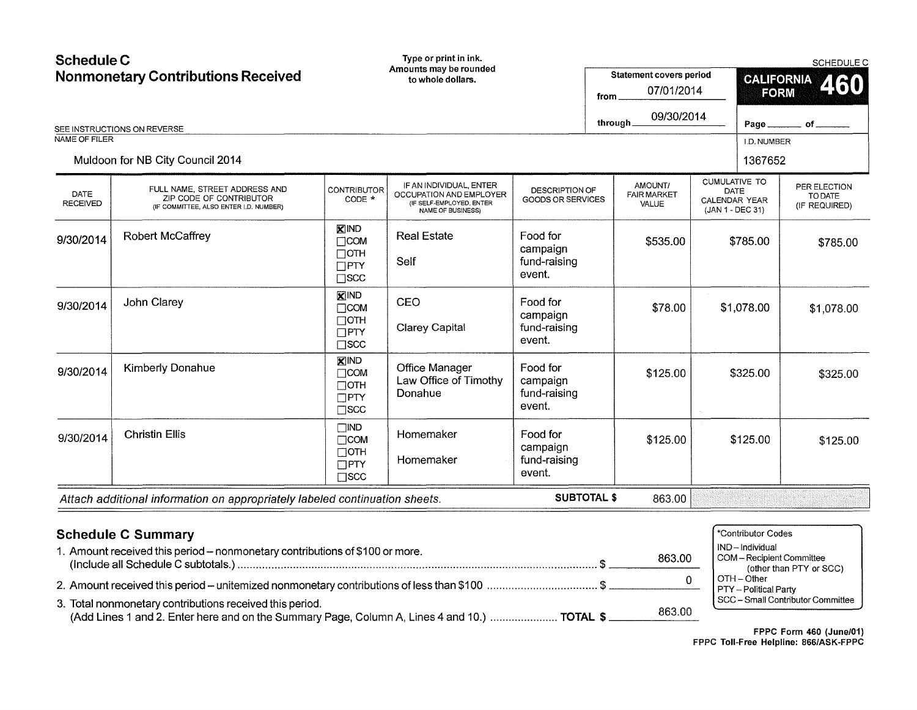| <b>Schedule C</b><br>NAME OF FILER | <b>Nonmonetary Contributions Received</b><br>SEE INSTRUCTIONS ON REVERSE<br>Muldoon for NB City Council 2014 |                                                                           | Type or print in ink.<br>Amounts may be rounded<br>to whole dollars.                                |                                                   |  | Statement covers period<br>07/01/2014<br>from.<br>09/30/2014<br>through_<br><b>CUMULATIVE TO</b> |            | <b>FORM</b><br>Page.<br>I.D. NUMBER<br>1367652                                                        | SCHEDULE C<br>CALIFORNIA 460<br>$\_$ of $\_$ |
|------------------------------------|--------------------------------------------------------------------------------------------------------------|---------------------------------------------------------------------------|-----------------------------------------------------------------------------------------------------|---------------------------------------------------|--|--------------------------------------------------------------------------------------------------|------------|-------------------------------------------------------------------------------------------------------|----------------------------------------------|
| DATE<br><b>RECEIVED</b>            | FULL NAME, STREET ADDRESS AND<br>ZIP CODE OF CONTRIBUTOR<br>(IF COMMITTEE, ALSO ENTER I.D. NUMBER)           | <b>CONTRIBUTOR</b><br>CODE *                                              | IF AN INDIVIDUAL, ENTER<br>OCCUPATION AND EMPLOYER<br>(IF SELF-EMPLOYED, ENTER<br>NAME OF BUSINESS) | <b>DESCRIPTION OF</b><br><b>GOODS OR SERVICES</b> |  | AMOUNT/<br><b>FAIR MARKET</b><br>VALUE                                                           |            | DATE<br>CALENDAR YEAR<br>(JAN 1 - DEC 31)                                                             | PER ELECTION<br>TO DATE<br>(IF REQUIRED)     |
| 9/30/2014                          | Robert McCaffrey                                                                                             | <b>X</b> IND<br>$\Box$ COM<br>$\Box$ OTH<br>$\Box$ PTY<br>$\square$ SCC   | <b>Real Estate</b><br>Self                                                                          | Food for<br>campaign<br>fund-raising<br>event.    |  | \$535.00                                                                                         | \$785.00   |                                                                                                       | \$785.00                                     |
| 9/30/2014                          | John Clarey                                                                                                  | <b>X</b> IND<br>$\Box$ COM<br>$\Box$ OTH<br>$\Box$ PTY<br>$\square$ scc   | CEO<br><b>Clarey Capital</b>                                                                        | Food for<br>campaign<br>fund-raising<br>event.    |  | \$78.00                                                                                          | \$1,078.00 |                                                                                                       | \$1,078.00                                   |
| 9/30/2014                          | <b>Kimberly Donahue</b>                                                                                      | <b>XIND</b><br>$\Box$ COM<br>$\Box$ OTH<br>$\square$ PTY<br>$\square$ scc | Office Manager<br>Law Office of Timothy<br>Donahue                                                  | Food for<br>campaign<br>fund-raising<br>event.    |  | \$125.00                                                                                         |            | \$325.00                                                                                              | \$325.00                                     |
| 9/30/2014                          | <b>Christin Ellis</b>                                                                                        | $\Box$ IND<br>$\Box$ COM<br>$\Box$ OTH<br>$\Box$ PTY<br>$\square$ scc     | Homemaker<br>Homemaker                                                                              | Food for<br>campaign<br>fund-raising<br>event.    |  | \$125.00                                                                                         |            | \$125.00<br>\$125.00                                                                                  |                                              |
|                                    | Attach additional information on appropriately labeled continuation sheets.                                  |                                                                           |                                                                                                     | <b>SUBTOTAL \$</b>                                |  | 863.00                                                                                           |            |                                                                                                       |                                              |
|                                    | <b>Schedule C Summary</b><br>1. Amount received this period - nonmonetary contributions of \$100 or more.    |                                                                           |                                                                                                     |                                                   |  | 863.00<br>0                                                                                      |            | *Contributor Codes<br>IND-Individual<br>COM-Recipient Committee<br>OTH-Other<br>PTY _ Political Party | (other than PTY or SCC)                      |

3. Total nonmonetary contributions received this period.<br>(Add Lines 1 and 2. Enter here and on the Summary Page, Column A, Lines 4 and 10.) ....................... **TOTAL \$** \_\_\_\_\_\_\_\_\_863.00\_\_\_

FPPC Form 460 (June/01) FPPC Toll-Free Helpline: 866/ASK-FPPC

SCC -Small Contributor Committee

PTY- Political Party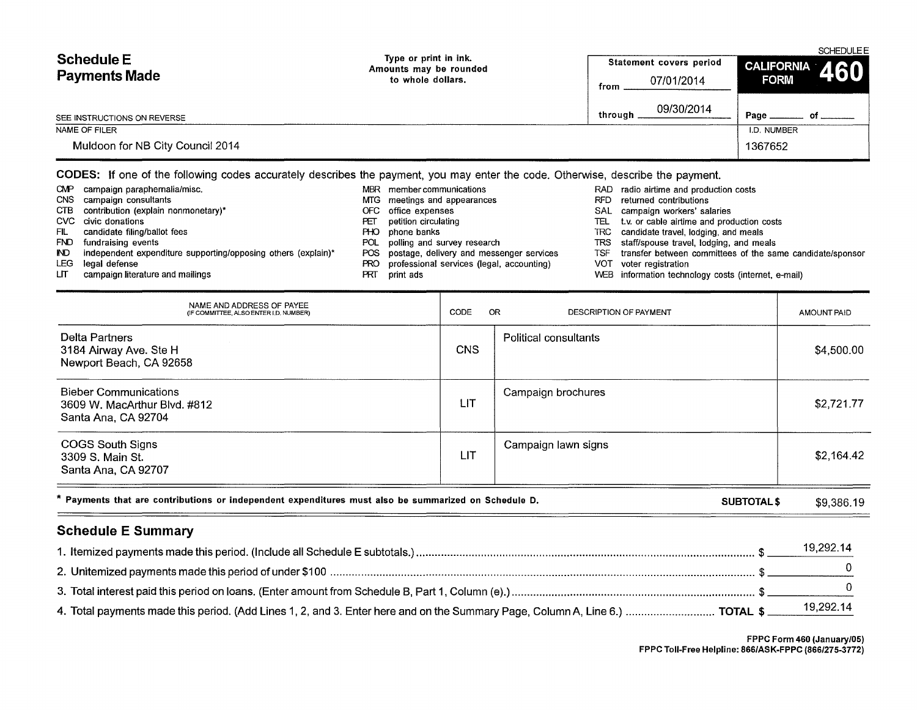| <b>Schedule E</b><br><b>Payments Made</b> | Type or print in ink.<br>Amounts may be rounded<br>to whole dollars. | Statement covers period<br>07/01/2014<br>from | SCHEDULEE<br><b>CALIFORNIA</b><br>460<br><b>FORM</b> |
|-------------------------------------------|----------------------------------------------------------------------|-----------------------------------------------|------------------------------------------------------|
| SEE INSTRUCTIONS ON REVERSE               |                                                                      | 09/30/2014<br>through                         | Page                                                 |
| NAME OF FILER                             |                                                                      |                                               | I.D. NUMBER                                          |
| Muldoon for NB City Council 2014          |                                                                      |                                               | 1367652                                              |

## CODES: If one of the following codes accurately describes the payment, you may enter the code. Otherwise, describe the payment.

| CMP.  | campaign paraphernalia/misc.                                  | MBR. | member communications                         | RAD        | radio airtime and production costs                        |
|-------|---------------------------------------------------------------|------|-----------------------------------------------|------------|-----------------------------------------------------------|
|       | CNS campaign consultants                                      |      | MTG meetings and appearances                  | <b>RFD</b> | returned contributions                                    |
|       | CTB contribution (explain nonmonetary)*                       |      | OFC office expenses                           | SAL        | campaign workers' salaries                                |
|       | CVC civic donations                                           | PЕI  | petition circulating                          | TEL        | t.v. or cable airtime and production costs                |
| FIL.  | candidate filing/ballot fees                                  |      | PHO phone banks                               |            | TRC candidate travel, lodging, and meals                  |
|       | FND fundraising events                                        |      | POL polling and survey research               |            | TRS staff/spouse travel, lodging, and meals               |
| ND.   | independent expenditure supporting/opposing others (explain)* |      | POS postage, delivery and messenger services  | TSF        | transfer between committees of the same candidate/sponsor |
| LEG . | legal defense                                                 |      | PRO professional services (legal, accounting) | VOT        | voter registration                                        |
| LП    | campaign literature and mailings                              | PR.  | print ads                                     |            | WEB information technology costs (internet, e-mail)       |

| NAME AND ADDRESS OF PAYEE<br>(IF COMMITTEE, ALSO ENTER I,D, NUMBER)                                  | CODE       | OR.<br>DESCRIPTION OF PAYMENT | <b>AMOUNT PAID</b> |
|------------------------------------------------------------------------------------------------------|------------|-------------------------------|--------------------|
| Delta Partners<br>3184 Airway Ave. Ste H<br>Newport Beach, CA 92658                                  | <b>CNS</b> | Political consultants         | \$4,500.00         |
| <b>Bieber Communications</b><br>3609 W. MacArthur Blvd. #812<br>Santa Ana, CA 92704                  | LIT        | Campaign brochures            | \$2,721.77         |
| <b>COGS South Signs</b><br>3309 S. Main St.<br>Santa Ana, CA 92707                                   | LIT        | Campaign lawn signs           | \$2,164.42         |
| * Payments that are contributions or independent expenditures must also be summarized on Schedule D. |            | <b>SUBTOTALS</b>              | \$9,386.19         |

# Schedule E Summary

|                                                                                                                                              | 19,292.14 |
|----------------------------------------------------------------------------------------------------------------------------------------------|-----------|
|                                                                                                                                              |           |
|                                                                                                                                              |           |
|                                                                                                                                              |           |
|                                                                                                                                              |           |
|                                                                                                                                              |           |
| 4. Total payments made this period. (Add Lines 1, 2, and 3. Enter here and on the Summary Page, Column A, Line 6.)  TOTAL \$ _____ 19,292.14 |           |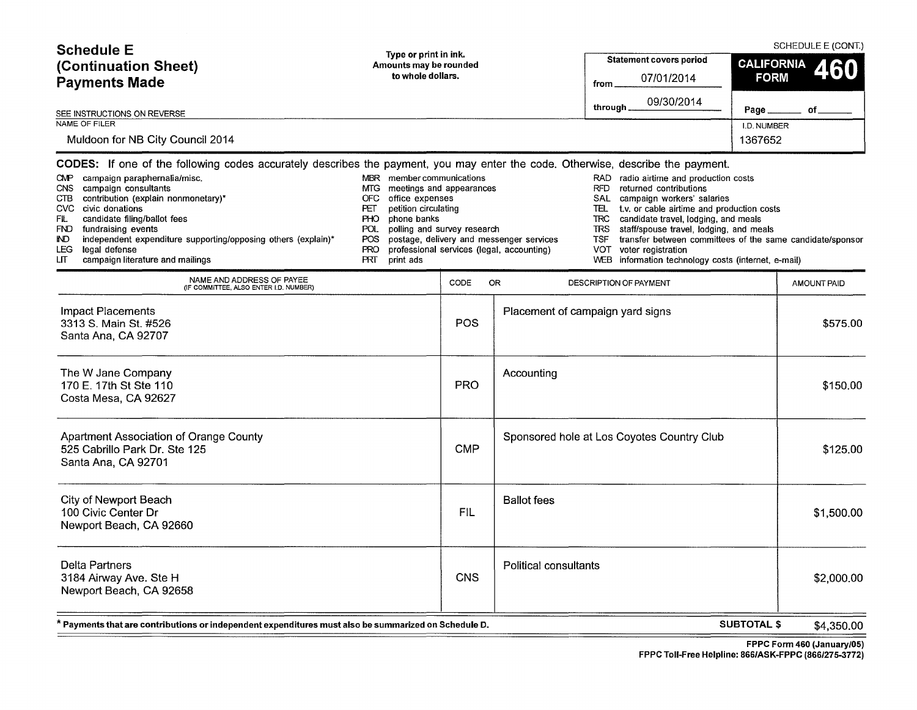| <b>Schedule E</b>                                                                                                                                                                                                                                                                                                                                                                                                                                                                                            |                                                                                                                                                                                                                                                |            |                                                                                       | SCHEDULE E (CONT.)                                                                                                                                                                                                                                                                                                                                                                                                                                             |                                         |                    |  |  |
|--------------------------------------------------------------------------------------------------------------------------------------------------------------------------------------------------------------------------------------------------------------------------------------------------------------------------------------------------------------------------------------------------------------------------------------------------------------------------------------------------------------|------------------------------------------------------------------------------------------------------------------------------------------------------------------------------------------------------------------------------------------------|------------|---------------------------------------------------------------------------------------|----------------------------------------------------------------------------------------------------------------------------------------------------------------------------------------------------------------------------------------------------------------------------------------------------------------------------------------------------------------------------------------------------------------------------------------------------------------|-----------------------------------------|--------------------|--|--|
| (Continuation Sheet)<br><b>Payments Made</b>                                                                                                                                                                                                                                                                                                                                                                                                                                                                 | Type or print in ink.<br>Amounts may be rounded<br>to whole dollars.                                                                                                                                                                           |            |                                                                                       | <b>Statement covers period</b><br>07/01/2014<br>from                                                                                                                                                                                                                                                                                                                                                                                                           | <b>CALIFORNIA</b><br>460<br><b>FORM</b> |                    |  |  |
| SEE INSTRUCTIONS ON REVERSE                                                                                                                                                                                                                                                                                                                                                                                                                                                                                  |                                                                                                                                                                                                                                                |            |                                                                                       | 09/30/2014<br>through_                                                                                                                                                                                                                                                                                                                                                                                                                                         | Page.                                   | of.                |  |  |
| <b>NAME OF FILER</b><br>Muldoon for NB City Council 2014                                                                                                                                                                                                                                                                                                                                                                                                                                                     |                                                                                                                                                                                                                                                |            |                                                                                       |                                                                                                                                                                                                                                                                                                                                                                                                                                                                | I.D. NUMBER<br>1367652                  |                    |  |  |
| CODES: If one of the following codes accurately describes the payment, you may enter the code. Otherwise, describe the payment.<br>CMP campaign paraphernalia/misc.<br>campaign consultants<br><b>CNS</b><br>contribution (explain nonmonetary)*<br>CTB<br>CVC civic donations<br>FIL.<br>candidate filing/ballot fees<br><b>FND</b><br>fundraising events<br>independent expenditure supporting/opposing others (explain)*<br>IND.<br><b>LEG</b><br>legal defense<br>LП<br>campaign literature and mailings | member communications<br><b>MBR</b><br>meetings and appearances<br>MTG.<br>OFC<br>office expenses<br>petition circulating<br>PET<br>phone banks<br><b>PHO</b><br>POL.<br>polling and survey research<br>POS.<br><b>PRO</b><br>PRT<br>print ads |            | postage, delivery and messenger services<br>professional services (legal, accounting) | RAD.<br>radio airtime and production costs<br>RFD<br>returned contributions<br>SAL<br>campaign workers' salaries<br>t.v. or cable airtime and production costs<br>TEL.<br>candidate travel, lodging, and meals<br><b>TRC</b><br><b>TRS</b><br>staff/spouse travel, lodging, and meals<br><b>TSF</b><br>transfer between committees of the same candidate/sponsor<br><b>VOT</b><br>voter registration<br>WEB<br>information technology costs (internet, e-mail) |                                         |                    |  |  |
| NAME AND ADDRESS OF PAYEE<br>(IF COMMITTEE, ALSO ENTER I.D. NUMBER)                                                                                                                                                                                                                                                                                                                                                                                                                                          |                                                                                                                                                                                                                                                | CODE       | <b>OR</b>                                                                             | DESCRIPTION OF PAYMENT                                                                                                                                                                                                                                                                                                                                                                                                                                         |                                         | <b>AMOUNT PAID</b> |  |  |
| <b>Impact Placements</b><br>3313 S. Main St. #526<br>Santa Ana, CA 92707                                                                                                                                                                                                                                                                                                                                                                                                                                     |                                                                                                                                                                                                                                                | POS        |                                                                                       | Placement of campaign yard signs                                                                                                                                                                                                                                                                                                                                                                                                                               |                                         | \$575.00           |  |  |
| The W Jane Company<br>170 E. 17th St Ste 110<br>Costa Mesa, CA 92627                                                                                                                                                                                                                                                                                                                                                                                                                                         |                                                                                                                                                                                                                                                | <b>PRO</b> | Accounting                                                                            |                                                                                                                                                                                                                                                                                                                                                                                                                                                                |                                         | \$150.00           |  |  |
| Apartment Association of Orange County<br>525 Cabrillo Park Dr. Ste 125<br>Santa Ana, CA 92701                                                                                                                                                                                                                                                                                                                                                                                                               |                                                                                                                                                                                                                                                | <b>CMP</b> |                                                                                       | Sponsored hole at Los Coyotes Country Club                                                                                                                                                                                                                                                                                                                                                                                                                     |                                         | \$125.00           |  |  |
| <b>City of Newport Beach</b><br>100 Civic Center Dr<br>Newport Beach, CA 92660                                                                                                                                                                                                                                                                                                                                                                                                                               |                                                                                                                                                                                                                                                | <b>FIL</b> | <b>Ballot</b> fees                                                                    |                                                                                                                                                                                                                                                                                                                                                                                                                                                                |                                         | \$1,500.00         |  |  |
| <b>Delta Partners</b><br>3184 Airway Ave. Ste H                                                                                                                                                                                                                                                                                                                                                                                                                                                              |                                                                                                                                                                                                                                                | <b>CNS</b> | Political consultants                                                                 |                                                                                                                                                                                                                                                                                                                                                                                                                                                                |                                         | \$2,000.00         |  |  |

\* Payments that are contributions or independent expenditures must also be summarized on Schedule D.

Newport Beach, CA 92658

SUBTOTAL\$ \$4,350.00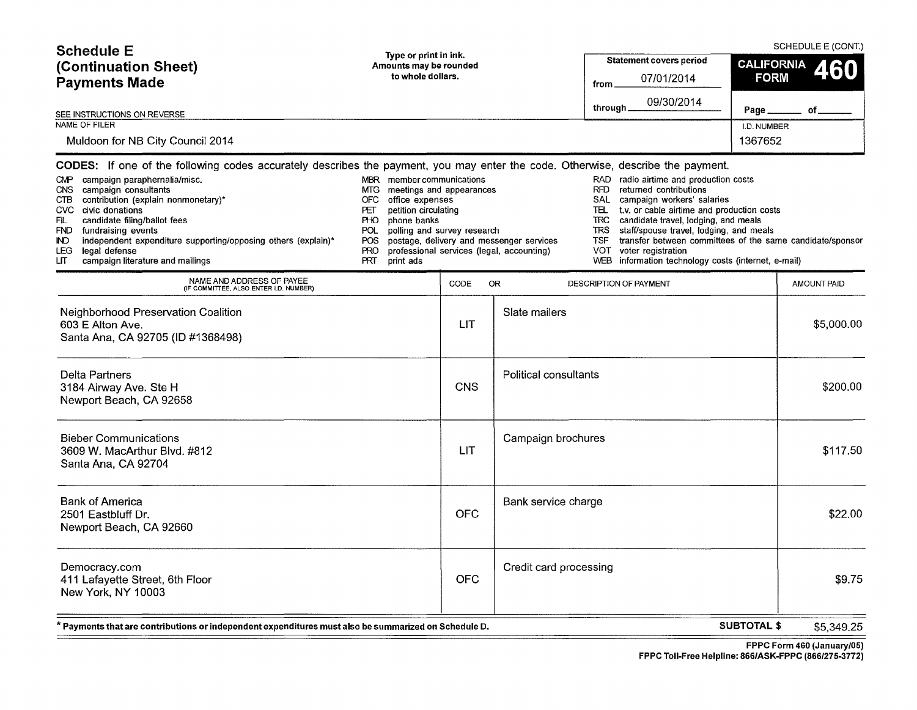| <b>Schedule E</b><br>(Continuation Sheet)<br><b>Payments Made</b><br>SEE INSTRUCTIONS ON REVERSE<br><b>NAME OF FILER</b><br>Muldoon for NB City Council 2014                                                                                                                                                                                                                                                                                                                                                                                                                  | Type or print in ink.<br>Amounts may be rounded<br>to whole dollars.                                                                                    |            |                                                                                       | <b>Statement covers period</b><br>07/01/2014<br>from<br>09/30/2014<br>through.                                                                                                                                                                                                                                                                                                                                                                                    | <b>CALIFORNIA</b><br><b>FORM</b><br>Page<br>I.D. NUMBER<br>1367652 | SCHEDULE E (CONT.)<br>460<br>οf |
|-------------------------------------------------------------------------------------------------------------------------------------------------------------------------------------------------------------------------------------------------------------------------------------------------------------------------------------------------------------------------------------------------------------------------------------------------------------------------------------------------------------------------------------------------------------------------------|---------------------------------------------------------------------------------------------------------------------------------------------------------|------------|---------------------------------------------------------------------------------------|-------------------------------------------------------------------------------------------------------------------------------------------------------------------------------------------------------------------------------------------------------------------------------------------------------------------------------------------------------------------------------------------------------------------------------------------------------------------|--------------------------------------------------------------------|---------------------------------|
| CODES: If one of the following codes accurately describes the payment, you may enter the code. Otherwise, describe the payment.<br>CMP campaign paraphernalia/misc.<br>MBR<br><b>MTG</b><br>campaign consultants<br>CNS.<br>contribution (explain nonmonetary)*<br>CTB<br>OFC<br>CVC civic donations<br>PET.<br>candidate filing/ballot fees<br>FIL<br>PHO<br>FND.<br>fundraising events<br>POL<br><b>IND</b><br>independent expenditure supporting/opposing others (explain)*<br>POS<br>legal defense<br>LEG.<br><b>PRO</b><br>PRT<br>LП<br>campaign literature and mailings | member communications<br>meetings and appearances<br>office expenses<br>petition circulating<br>phone banks<br>polling and survey research<br>print ads |            | postage, delivery and messenger services<br>professional services (legal, accounting) | RAD radio airtime and production costs<br><b>RFD</b><br>returned contributions<br><b>SAL</b><br>campaign workers' salaries<br>TEL<br>t.v. or cable airtime and production costs<br>TRC.<br>candidate travel, lodging, and meals<br>TRS<br>staff/spouse travel, lodging, and meals<br><b>TSF</b><br>transfer between committees of the same candidate/sponsor<br><b>VOT</b><br>voter registration<br><b>WEB</b><br>information technology costs (internet, e-mail) |                                                                    |                                 |
| NAME AND ADDRESS OF PAYEE<br>(IF COMMITTEE, ALSO ENTER I.D. NUMBER)                                                                                                                                                                                                                                                                                                                                                                                                                                                                                                           |                                                                                                                                                         | CODE       | <b>OR</b>                                                                             | DESCRIPTION OF PAYMENT                                                                                                                                                                                                                                                                                                                                                                                                                                            |                                                                    | <b>AMOUNT PAID</b>              |
| Neighborhood Preservation Coalition<br>603 E Alton Ave.<br>Santa Ana, CA 92705 (ID #1368498)                                                                                                                                                                                                                                                                                                                                                                                                                                                                                  |                                                                                                                                                         | <b>LIT</b> | Slate mailers                                                                         |                                                                                                                                                                                                                                                                                                                                                                                                                                                                   |                                                                    | \$5,000.00                      |
| Delta Partners<br>3184 Airway Ave. Ste H<br>Newport Beach, CA 92658                                                                                                                                                                                                                                                                                                                                                                                                                                                                                                           |                                                                                                                                                         | <b>CNS</b> | Political consultants                                                                 |                                                                                                                                                                                                                                                                                                                                                                                                                                                                   |                                                                    | \$200.00                        |
| <b>Bieber Communications</b><br>3609 W. MacArthur Blvd. #812<br>Santa Ana, CA 92704                                                                                                                                                                                                                                                                                                                                                                                                                                                                                           |                                                                                                                                                         | <b>LIT</b> | Campaign brochures                                                                    |                                                                                                                                                                                                                                                                                                                                                                                                                                                                   |                                                                    | \$117.50                        |
| <b>Bank of America</b><br>2501 Eastbluff Dr.<br>Newport Beach, CA 92660                                                                                                                                                                                                                                                                                                                                                                                                                                                                                                       |                                                                                                                                                         | <b>OFC</b> | Bank service charge                                                                   |                                                                                                                                                                                                                                                                                                                                                                                                                                                                   |                                                                    | \$22.00                         |
| Democracy.com<br>411 Lafayette Street, 6th Floor<br>New York, NY 10003                                                                                                                                                                                                                                                                                                                                                                                                                                                                                                        |                                                                                                                                                         | <b>OFC</b> | Credit card processing                                                                |                                                                                                                                                                                                                                                                                                                                                                                                                                                                   |                                                                    | \$9.75                          |
| * Payments that are contributions or independent expenditures must also be summarized on Schedule D.                                                                                                                                                                                                                                                                                                                                                                                                                                                                          |                                                                                                                                                         |            |                                                                                       |                                                                                                                                                                                                                                                                                                                                                                                                                                                                   | <b>SUBTOTAL \$</b>                                                 | \$5,349.25                      |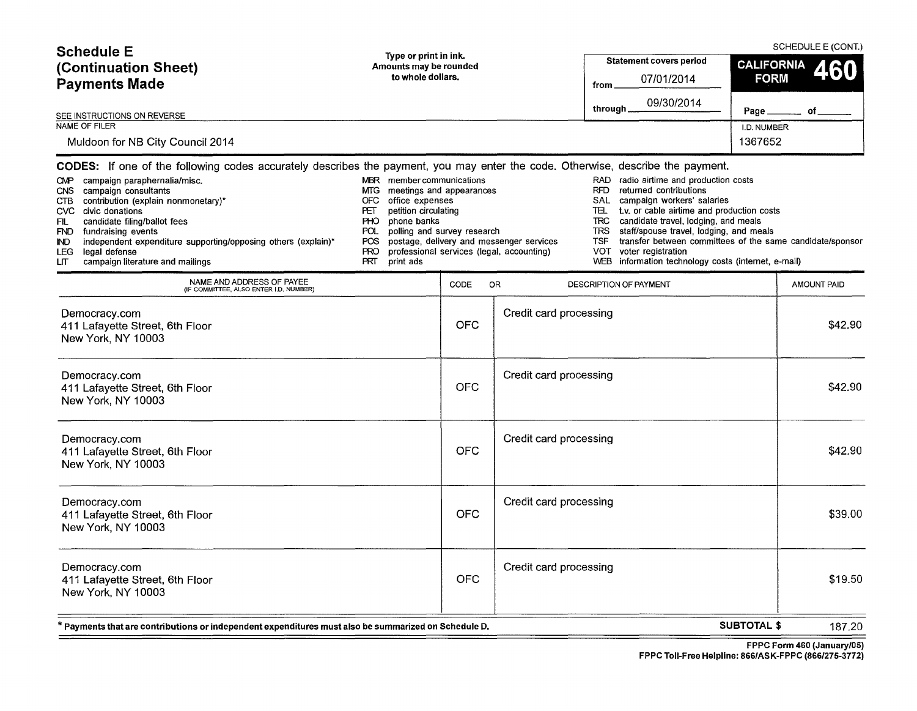| <b>Schedule E</b><br>(Continuation Sheet)<br><b>Payments Made</b>                                                                                                                                                                                                                                                                                                                                                                                                                                                              | Type or print in ink.<br>Amounts may be rounded<br>to whole dollars.                                                                                                                                                                                     |            |                                                                                       | <b>Statement covers period</b><br>07/01/2014<br>from<br>09/30/2014                                    |                                                                                                                                                                                                                                                                                                                                                                   |                        | SCHEDULE E (CONT.)<br><b>CALIFORNIA</b><br><b>FORM</b> |  |
|--------------------------------------------------------------------------------------------------------------------------------------------------------------------------------------------------------------------------------------------------------------------------------------------------------------------------------------------------------------------------------------------------------------------------------------------------------------------------------------------------------------------------------|----------------------------------------------------------------------------------------------------------------------------------------------------------------------------------------------------------------------------------------------------------|------------|---------------------------------------------------------------------------------------|-------------------------------------------------------------------------------------------------------|-------------------------------------------------------------------------------------------------------------------------------------------------------------------------------------------------------------------------------------------------------------------------------------------------------------------------------------------------------------------|------------------------|--------------------------------------------------------|--|
| SEE INSTRUCTIONS ON REVERSE                                                                                                                                                                                                                                                                                                                                                                                                                                                                                                    |                                                                                                                                                                                                                                                          |            |                                                                                       | through.                                                                                              |                                                                                                                                                                                                                                                                                                                                                                   | Page                   | of                                                     |  |
| NAME OF FILER<br>Muldoon for NB City Council 2014                                                                                                                                                                                                                                                                                                                                                                                                                                                                              |                                                                                                                                                                                                                                                          |            |                                                                                       |                                                                                                       |                                                                                                                                                                                                                                                                                                                                                                   | I.D. NUMBER<br>1367652 |                                                        |  |
| CODES: If one of the following codes accurately describes the payment, you may enter the code. Otherwise, describe the payment.<br>campaign paraphernalia/misc.<br><b>CMP</b><br>campaign consultants<br><b>CNS</b><br>contribution (explain nonmonetary)*<br><b>CTB</b><br>civic donations<br>CVC<br>FIL<br>candidate filing/ballot fees<br><b>FND</b><br>fundraising events<br>independent expenditure supporting/opposing others (explain)*<br><b>ND</b><br>legal defense<br>LEG.<br>campaign literature and mailings<br>ιπ | member communications<br><b>MBR</b><br>meetings and appearances<br>MTG<br><b>OFC</b><br>office expenses<br>petition circulating<br>PΞ<br><b>PHO</b><br>phone banks<br><b>POL</b><br>polling and survey research<br>POS<br><b>PRO</b><br>PRT<br>print ads |            | postage, delivery and messenger services<br>professional services (legal, accounting) | RAD<br><b>RFD</b><br>SAL<br>TEL<br><b>TRC</b><br><b>TRS</b><br><b>TSF</b><br><b>VOT</b><br><b>WEB</b> | radio airtime and production costs<br>returned contributions<br>campaign workers' salaries<br>t.v. or cable airtime and production costs<br>candidate travel, lodging, and meals<br>staff/spouse travel, lodging, and meals<br>transfer between committees of the same candidate/sponsor<br>voter registration<br>information technology costs (internet, e-mail) |                        |                                                        |  |
| NAME AND ADDRESS OF PAYEE<br>(IF COMMITTEE, ALSO ENTER I.D. NUMBER)                                                                                                                                                                                                                                                                                                                                                                                                                                                            |                                                                                                                                                                                                                                                          | CODE       | OR.                                                                                   | DESCRIPTION OF PAYMENT                                                                                |                                                                                                                                                                                                                                                                                                                                                                   |                        | AMOUNT PAID                                            |  |
| Democracy.com<br>411 Lafayette Street, 6th Floor<br>New York, NY 10003                                                                                                                                                                                                                                                                                                                                                                                                                                                         |                                                                                                                                                                                                                                                          | <b>OFC</b> | Credit card processing                                                                |                                                                                                       |                                                                                                                                                                                                                                                                                                                                                                   |                        | \$42.90                                                |  |
| Democracy.com<br>411 Lafayette Street, 6th Floor<br>New York, NY 10003                                                                                                                                                                                                                                                                                                                                                                                                                                                         |                                                                                                                                                                                                                                                          | <b>OFC</b> | Credit card processing                                                                |                                                                                                       |                                                                                                                                                                                                                                                                                                                                                                   |                        | \$42.90                                                |  |

| * Payments that are contributions or independent expenditures must also be summarized on Schedule D. | <b>SUBTOTAL \$</b> | 187.20                 |         |
|------------------------------------------------------------------------------------------------------|--------------------|------------------------|---------|
| Democracy.com<br>411 Lafayette Street, 6th Floor<br>New York, NY 10003                               | <b>OFC</b>         | Credit card processing | \$19.50 |
| Democracy.com<br>411 Lafayette Street, 6th Floor<br>New York, NY 10003                               | <b>OFC</b>         | Credit card processing | \$39.00 |
| Democracy.com<br>411 Lafayette Street, 6th Floor<br>New York, NY 10003                               | <b>OFC</b>         | Credit card processing | \$42.90 |
| 4 I Laidybub Oliter, Olli Flour<br>New York, NY 10003                                                | VI V               |                        | 472.00  |

FPPC Form 460 (January/05)

FPPC Toll-Free Helpline: 866/ASK-FPPC (866/275-3772)